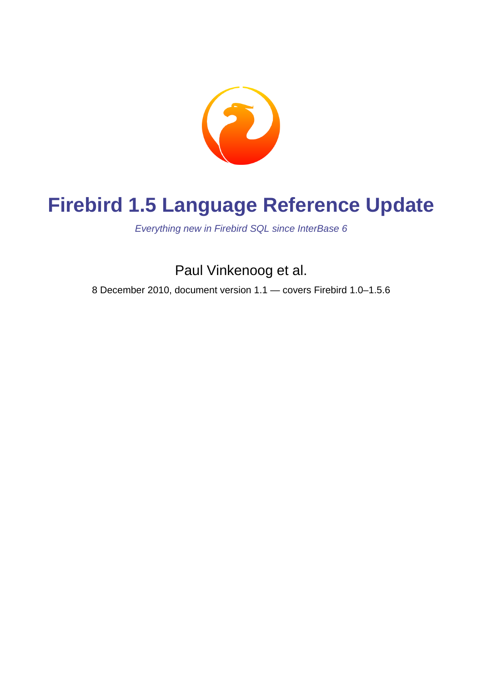

# **Firebird 1.5 Language Reference Update**

Everything new in Firebird SQL since InterBase 6

Paul Vinkenoog et al.

8 December 2010, document version 1.1 — covers Firebird 1.0–1.5.6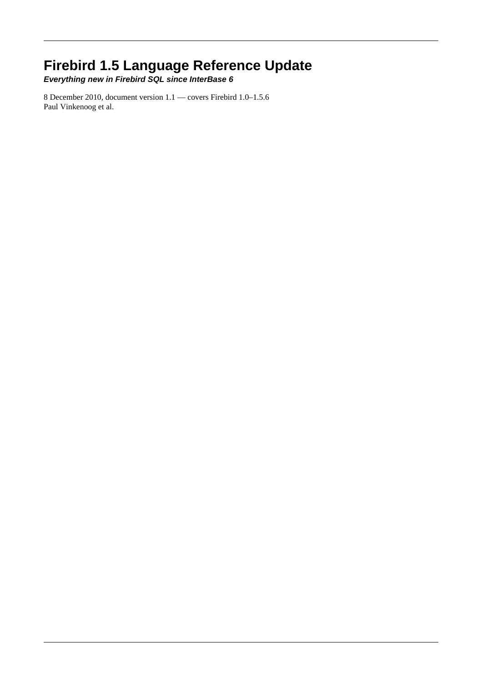### **Firebird 1.5 Language Reference Update**

**Everything new in Firebird SQL since InterBase 6**

8 December 2010, document version 1.1 — covers Firebird 1.0–1.5.6 Paul Vinkenoog et al.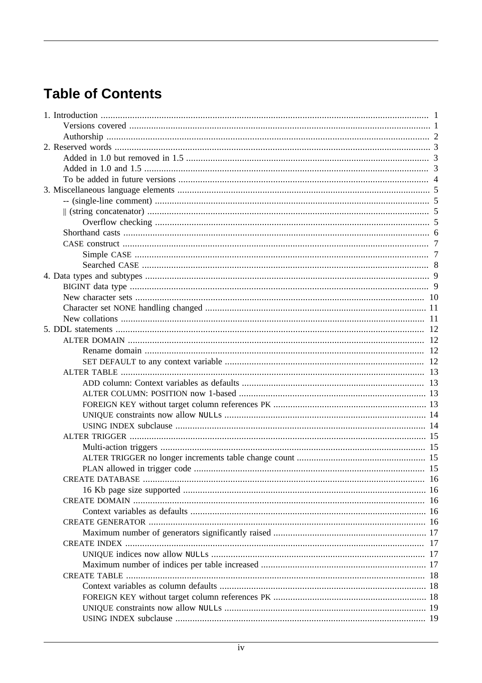# **Table of Contents**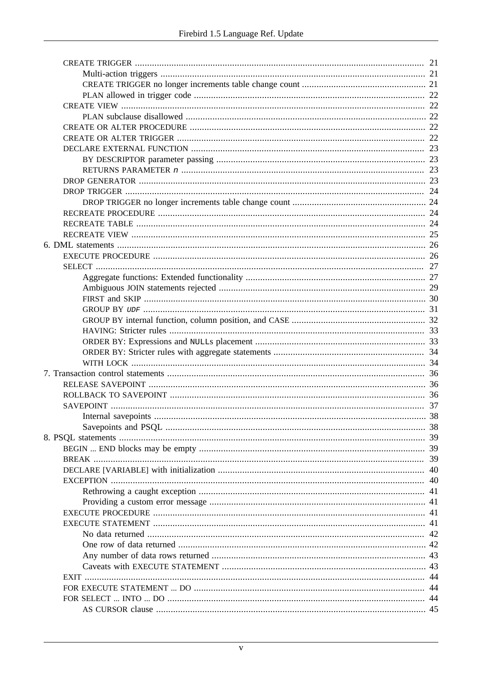| 40 |
|----|
| 41 |
|    |
|    |
|    |
|    |
|    |
|    |
|    |
|    |
|    |
| 44 |
|    |
|    |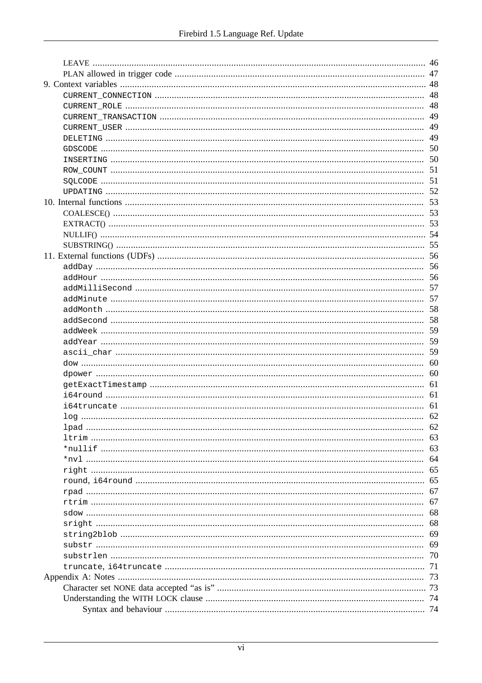| 46  |
|-----|
|     |
|     |
|     |
|     |
| 49  |
| 49  |
| 49  |
| 50  |
|     |
| 51  |
| 51  |
| 52  |
|     |
|     |
| 53  |
| .54 |
| 55  |
|     |
|     |
| 56  |
| 57  |
|     |
|     |
|     |
| 59  |
| 59  |
| 59  |
|     |
| 60  |
| 61  |
| 61  |
|     |
|     |
| 62  |
| 63  |
| 63  |
| 64  |
| 65  |
| 65  |
| 67  |
| 67  |
| 68  |
| 68  |
| 69  |
| 69  |
| 70  |
| 71  |
| 73  |
| 73  |
| 74  |
| 74  |
|     |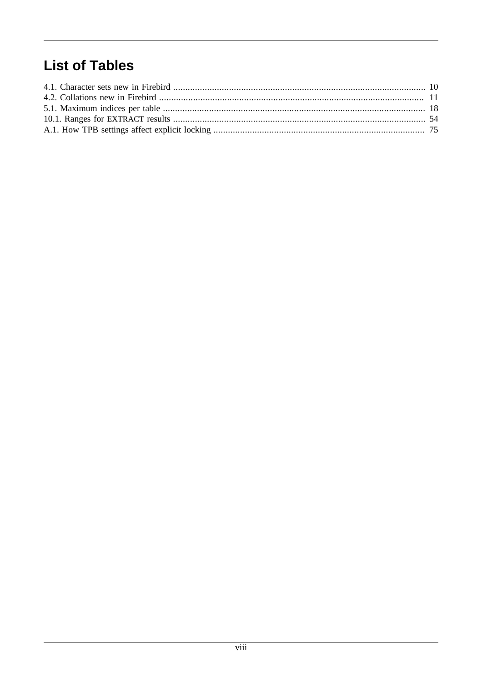# **List of Tables**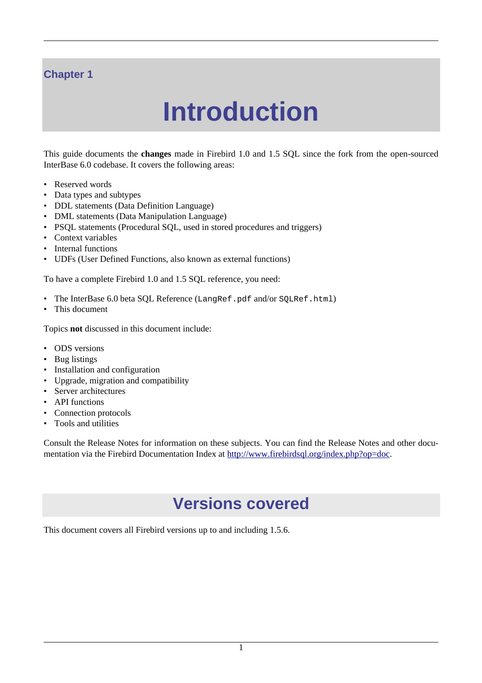#### <span id="page-8-0"></span>**Chapter 1**

# **Introduction**

This guide documents the **changes** made in Firebird 1.0 and 1.5 SQL since the fork from the open-sourced InterBase 6.0 codebase. It covers the following areas:

- Reserved words
- Data types and subtypes
- DDL statements (Data Definition Language)
- DML statements (Data Manipulation Language)
- PSOL statements (Procedural SOL, used in stored procedures and triggers)
- Context variables
- Internal functions
- UDFs (User Defined Functions, also known as external functions)

To have a complete Firebird 1.0 and 1.5 SQL reference, you need:

- The InterBase 6.0 beta SQL Reference (LangRef.pdf and/or SQLRef.html)
- This document

Topics **not** discussed in this document include:

- ODS versions
- Bug listings
- Installation and configuration
- Upgrade, migration and compatibility
- Server architectures
- API functions
- Connection protocols
- Tools and utilities

<span id="page-8-1"></span>Consult the Release Notes for information on these subjects. You can find the Release Notes and other documentation via the Firebird Documentation Index at<http://www.firebirdsql.org/index.php?op=doc>.

# **Versions covered**

This document covers all Firebird versions up to and including 1.5.6.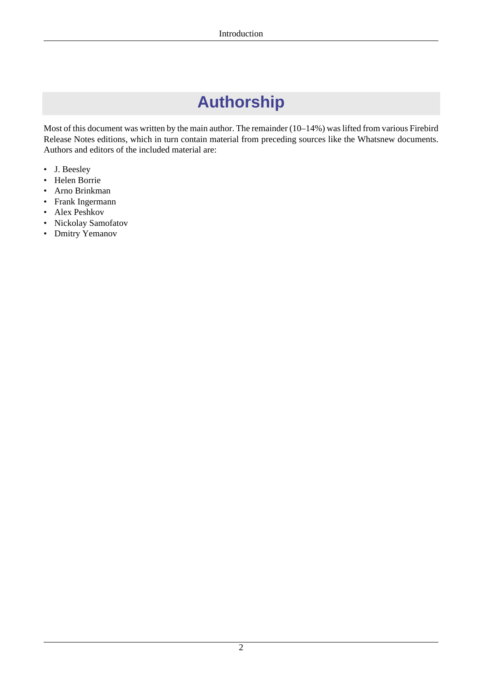# **Authorship**

<span id="page-9-0"></span>Most of this document was written by the main author. The remainder (10–14%) was lifted from various Firebird Release Notes editions, which in turn contain material from preceding sources like the Whatsnew documents. Authors and editors of the included material are:

- J. Beesley
- Helen Borrie
- Arno Brinkman
- Frank Ingermann
- Alex Peshkov
- Nickolay Samofatov
- Dmitry Yemanov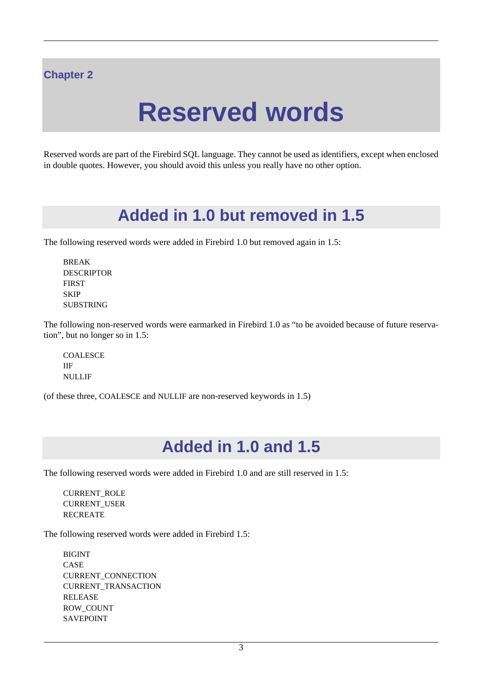#### <span id="page-10-0"></span>**Chapter 2**

# **Reserved words**

<span id="page-10-1"></span>Reserved words are part of the Firebird SQL language. They cannot be used as identifiers, except when enclosed in double quotes. However, you should avoid this unless you really have no other option.

# **Added in 1.0 but removed in 1.5**

The following reserved words were added in Firebird 1.0 but removed again in 1.5:

BREAK DESCRIPTOR **FIRST SKIP** SUBSTRING

The following non-reserved words were earmarked in Firebird 1.0 as "to be avoided because of future reservation", but no longer so in 1.5:

**COALESCE** IIF NULLIF

<span id="page-10-2"></span>(of these three, COALESCE and NULLIF are non-reserved keywords in 1.5)

# **Added in 1.0 and 1.5**

The following reserved words were added in Firebird 1.0 and are still reserved in 1.5:

CURRENT\_ROLE CURRENT\_USER **RECREATE** 

The following reserved words were added in Firebird 1.5:

BIGINT CASE CURRENT\_CONNECTION CURRENT\_TRANSACTION RELEASE ROW\_COUNT SAVEPOINT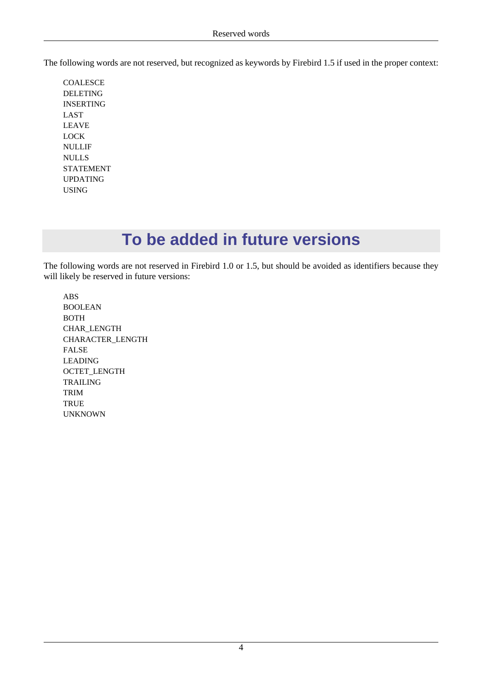The following words are not reserved, but recognized as keywords by Firebird 1.5 if used in the proper context:

COALESCE DELETING INSERTING LAST LEAVE LOCK NULLIF NULLS STATEMENT UPDATING USING

# **To be added in future versions**

<span id="page-11-0"></span>The following words are not reserved in Firebird 1.0 or 1.5, but should be avoided as identifiers because they will likely be reserved in future versions:

ABS BOOLEAN BOTH CHAR\_LENGTH CHARACTER\_LENGTH FALSE LEADING OCTET\_LENGTH TRAILING TRIM **TRUE** UNKNOWN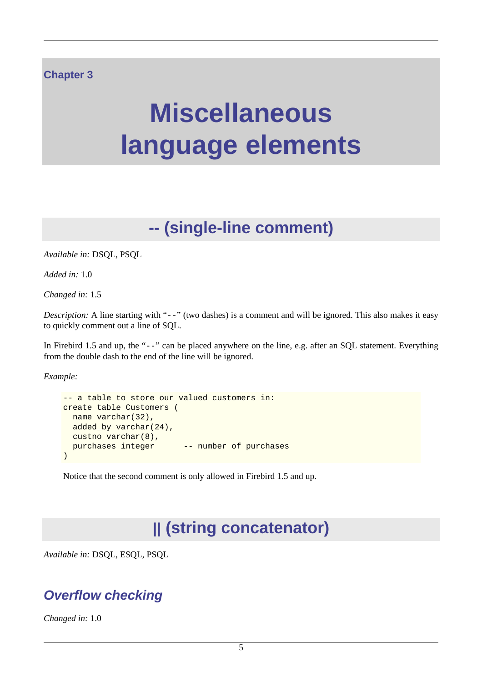#### <span id="page-12-0"></span>**Chapter 3**

# **Miscellaneous language elements**

# **-- (single-line comment)**

<span id="page-12-1"></span>*Available in:* DSQL, PSQL

*Added in:* 1.0

*Changed in:* 1.5

*Description:* A line starting with "--" (two dashes) is a comment and will be ignored. This also makes it easy to quickly comment out a line of SQL.

In Firebird 1.5 and up, the "--" can be placed anywhere on the line, e.g. after an SQL statement. Everything from the double dash to the end of the line will be ignored.

*Example:*

```
-- a table to store our valued customers in:
create table Customers (
  name varchar(32),
  added_by varchar(24),
  custno varchar(8),
 purchases integer -- number of purchases
)
```
<span id="page-12-2"></span>Notice that the second comment is only allowed in Firebird 1.5 and up.

# **|| (string concatenator)**

<span id="page-12-3"></span>*Available in:* DSQL, ESQL, PSQL

## **Overflow checking**

*Changed in:* 1.0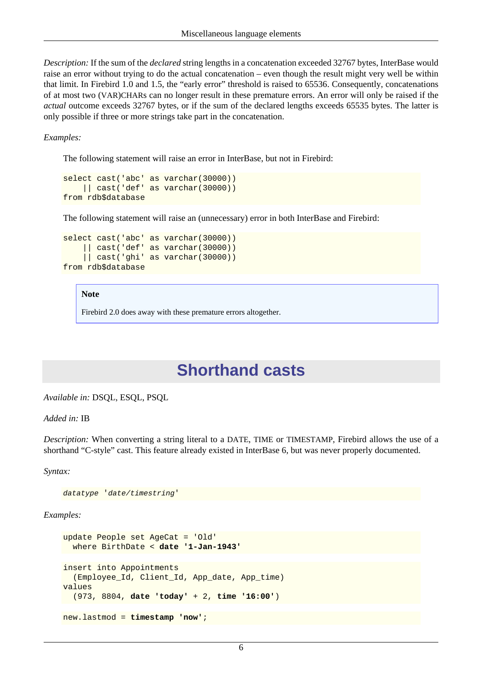*Description:* If the sum of the *declared* string lengths in a concatenation exceeded 32767 bytes, InterBase would raise an error without trying to do the actual concatenation – even though the result might very well be within that limit. In Firebird 1.0 and 1.5, the "early error" threshold is raised to 65536. Consequently, concatenations of at most two (VAR)CHARs can no longer result in these premature errors. An error will only be raised if the *actual* outcome exceeds 32767 bytes, or if the sum of the declared lengths exceeds 65535 bytes. The latter is only possible if three or more strings take part in the concatenation.

*Examples:*

The following statement will raise an error in InterBase, but not in Firebird:

```
select cast('abc' as varchar(30000))
     || cast('def' as varchar(30000))
from rdb$database
```
The following statement will raise an (unnecessary) error in both InterBase and Firebird:

```
select cast('abc' as varchar(30000))
     || cast('def' as varchar(30000))
     || cast('ghi' as varchar(30000))
from rdb$database
```
#### **Note**

<span id="page-13-0"></span>Firebird 2.0 does away with these premature errors altogether.

## **Shorthand casts**

*Available in:* DSQL, ESQL, PSQL

*Added in:* IB

*Description:* When converting a string literal to a DATE, TIME or TIMESTAMP, Firebird allows the use of a shorthand "C-style" cast. This feature already existed in InterBase 6, but was never properly documented.

*Syntax:*

```
datatype 'date/timestring'
```

```
update People set AgeCat = 'Old'
   where BirthDate < date '1-Jan-1943'
insert into Appointments
   (Employee_Id, Client_Id, App_date, App_time)
values
   (973, 8804, date 'today' + 2, time '16:00')
new.lastmod = timestamp 'now';
```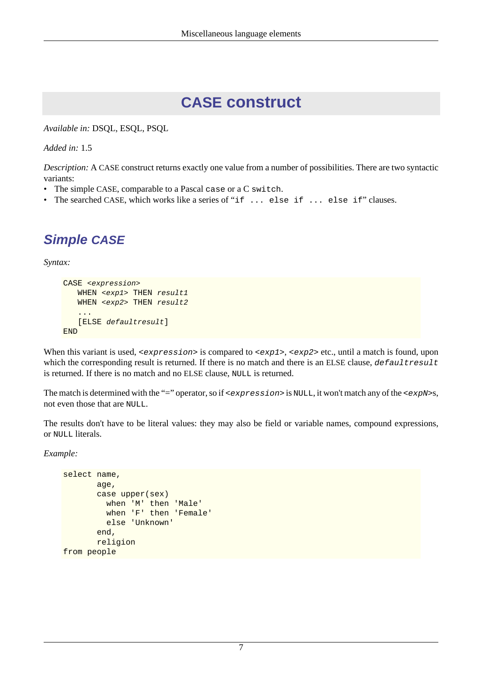# **CASE construct**

<span id="page-14-0"></span>*Available in:* DSQL, ESQL, PSQL

*Added in:* 1.5

*Description:* A CASE construct returns exactly one value from a number of possibilities. There are two syntactic variants:

- The simple CASE, comparable to a Pascal case or a C switch.
- <span id="page-14-1"></span>The searched CASE, which works like a series of "if ... else if ... else if" clauses.

## **Simple CASE**

*Syntax:*

```
CASE <expression>
   WHEN <exp1> THEN result1
   WHEN <exp2> THEN result2
    ...
    [ELSE defaultresult]
END
```
When this variant is used,  $\langle$ expression> is compared to  $\langle$ exp1>,  $\langle$ exp2> etc., until a match is found, upon which the corresponding result is returned. If there is no match and there is an ELSE clause, defaultresult is returned. If there is no match and no ELSE clause, NULL is returned.

The match is determined with the "=" operator, so if  $\leq$   $\leq$   $\leq$   $\leq$   $\leq$   $\leq$   $\leq$   $\leq$   $\leq$   $\leq$   $\leq$   $\leq$   $\leq$   $\leq$   $\leq$   $\leq$   $\leq$   $\leq$   $\leq$   $\leq$   $\leq$   $\leq$   $\leq$   $\leq$   $\leq$   $\leq$   $\leq$   $\leq$  not even those that are NULL.

The results don't have to be literal values: they may also be field or variable names, compound expressions, or NULL literals.

```
select name,
        age,
        case upper(sex)
          when 'M' then 'Male'
          when 'F' then 'Female'
          else 'Unknown'
        end,
        religion
from people
```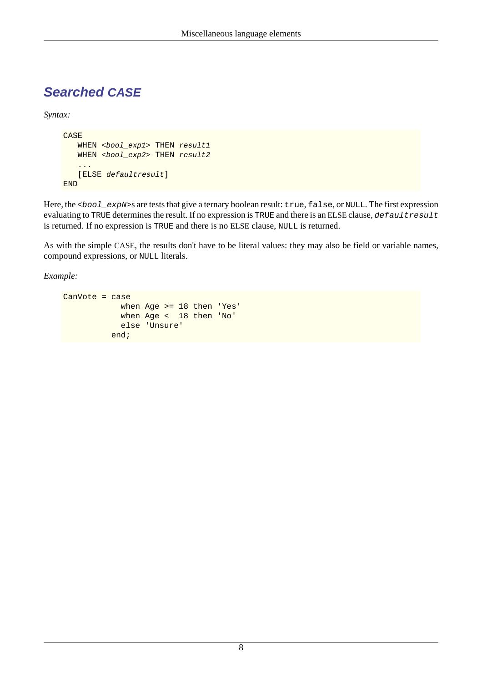### <span id="page-15-0"></span>**Searched CASE**

*Syntax:*

```
CASE
   WHEN <bool_exp1> THEN result1
   WHEN <br/>bool_exp2> THEN result2
    ...
    [ELSE defaultresult]
END
```
Here, the <bool\_expN>s are tests that give a ternary boolean result: true, false, or NULL. The first expression evaluating to TRUE determines the result. If no expression is TRUE and there is an ELSE clause, defaultresult is returned. If no expression is TRUE and there is no ELSE clause, NULL is returned.

As with the simple CASE, the results don't have to be literal values: they may also be field or variable names, compound expressions, or NULL literals.

```
CanVote = case
             when Age >= 18 then 'Yes'
             when Age < 18 then 'No'
             else 'Unsure'
           end;
```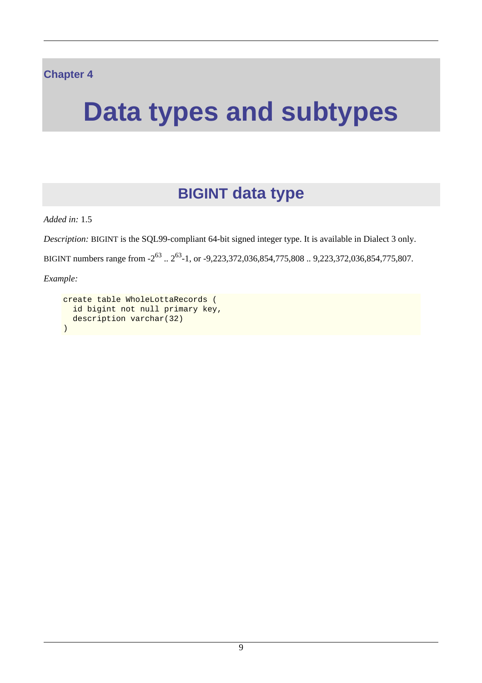#### <span id="page-16-0"></span>**Chapter 4**

# <span id="page-16-1"></span>**Data types and subtypes**

# **BIGINT data type**

*Added in:* 1.5

*Description:* BIGINT is the SQL99-compliant 64-bit signed integer type. It is available in Dialect 3 only.

BIGINT numbers range from  $-2^{63}$ ..  $2^{63}$ -1, or  $-9,223,372,036,854,775,808$ ..  $9,223,372,036,854,775,807$ .

```
create table WholeLottaRecords (
   id bigint not null primary key,
   description varchar(32)
)
```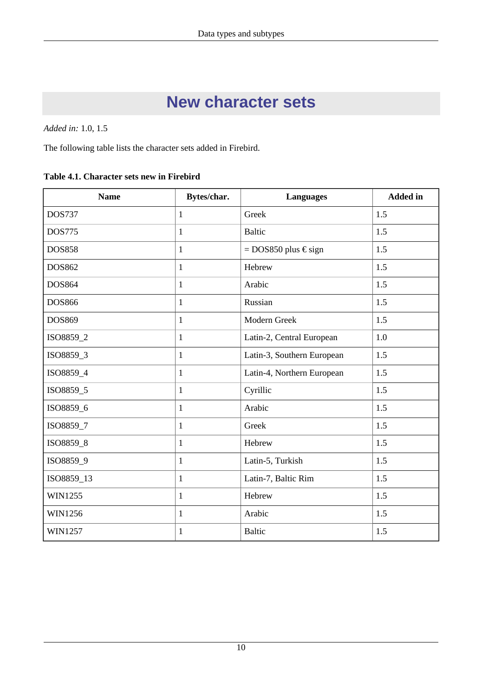# **New character sets**

<span id="page-17-0"></span>*Added in:* 1.0, 1.5

The following table lists the character sets added in Firebird.

<span id="page-17-1"></span>**Table 4.1. Character sets new in Firebird**

| <b>Name</b>    | Bytes/char.  | <b>Languages</b>                | <b>Added</b> in |  |
|----------------|--------------|---------------------------------|-----------------|--|
| <b>DOS737</b>  | $\mathbf{1}$ | Greek                           | 1.5             |  |
| <b>DOS775</b>  | $\mathbf{1}$ | <b>Baltic</b>                   | 1.5             |  |
| <b>DOS858</b>  | $\mathbf{1}$ | $=$ DOS850 plus $\epsilon$ sign | 1.5             |  |
| DOS862         | $\mathbf{1}$ | Hebrew                          | 1.5             |  |
| <b>DOS864</b>  | $\mathbf{1}$ | Arabic                          | 1.5             |  |
| <b>DOS866</b>  | $\mathbf{1}$ | Russian                         | 1.5             |  |
| <b>DOS869</b>  | $\mathbf{1}$ | Modern Greek                    | 1.5             |  |
| ISO8859_2      | $\mathbf{1}$ | Latin-2, Central European       | 1.0             |  |
| ISO8859_3      | 1            | Latin-3, Southern European      | 1.5             |  |
| ISO8859_4      | $\mathbf{1}$ | Latin-4, Northern European      | 1.5             |  |
| ISO8859_5      | $\mathbf{1}$ | Cyrillic                        | 1.5             |  |
| ISO8859_6      | $\mathbf{1}$ | Arabic                          | 1.5             |  |
| ISO8859_7      | $\mathbf{1}$ | Greek                           | 1.5             |  |
| ISO8859_8      | $\mathbf{1}$ | Hebrew                          | 1.5             |  |
| ISO8859_9      | $\mathbf{1}$ | Latin-5, Turkish                | 1.5             |  |
| ISO8859_13     | $\mathbf{1}$ | Latin-7, Baltic Rim             | 1.5             |  |
| WIN1255        | $\mathbf{1}$ | Hebrew                          | 1.5             |  |
| <b>WIN1256</b> | $\mathbf{1}$ | Arabic                          | 1.5             |  |
| <b>WIN1257</b> | $\mathbf{1}$ | <b>Baltic</b>                   | 1.5             |  |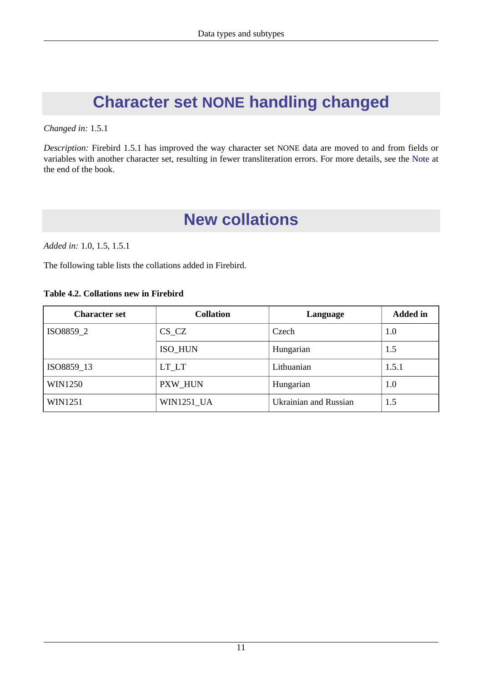# <span id="page-18-0"></span>**Character set NONE handling changed**

#### *Changed in:* 1.5.1

<span id="page-18-1"></span>*Description:* Firebird 1.5.1 has improved the way character set NONE data are moved to and from fields or variables with another character set, resulting in fewer transliteration errors. For more details, see the [Note](#page-80-1) at the end of the book.

# **New collations**

*Added in:* 1.0, 1.5, 1.5.1

The following table lists the collations added in Firebird.

#### <span id="page-18-2"></span>**Table 4.2. Collations new in Firebird**

| <b>Character set</b> | <b>Collation</b>  | Language                     | <b>Added</b> in |
|----------------------|-------------------|------------------------------|-----------------|
| ISO8859_2            | $CS_CZ$           | Czech                        | 1.0             |
|                      | ISO HUN           | Hungarian                    | 1.5             |
| ISO8859_13           | LT_LT             | Lithuanian                   | 1.5.1           |
| WIN1250              | PXW HUN           | Hungarian                    | 1.0             |
| WIN1251              | <b>WIN1251 UA</b> | <b>Ukrainian and Russian</b> | 1.5             |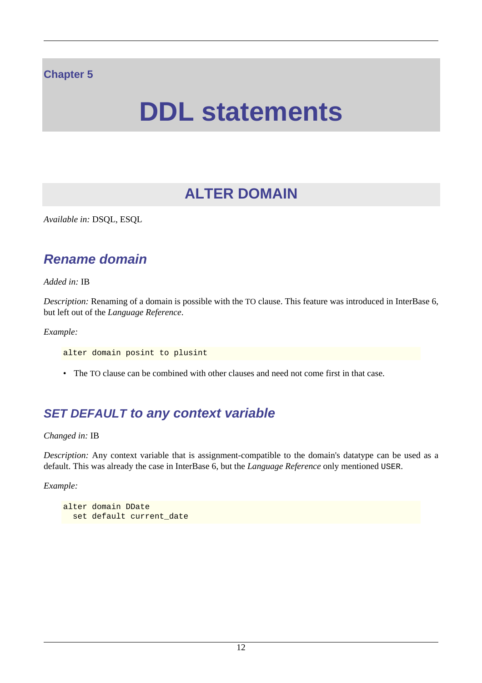#### <span id="page-19-0"></span>**Chapter 5**

# **DDL statements**

# **ALTER DOMAIN**

<span id="page-19-2"></span><span id="page-19-1"></span>*Available in:* DSQL, ESQL

### **Rename domain**

*Added in:* IB

*Description:* Renaming of a domain is possible with the TO clause. This feature was introduced in InterBase 6, but left out of the *Language Reference*.

*Example:*

alter domain posint to plusint

<span id="page-19-3"></span>• The TO clause can be combined with other clauses and need not come first in that case.

### **SET DEFAULT to any context variable**

*Changed in:* IB

*Description:* Any context variable that is assignment-compatible to the domain's datatype can be used as a default. This was already the case in InterBase 6, but the *Language Reference* only mentioned USER.

```
alter domain DDate
 set default current_date
```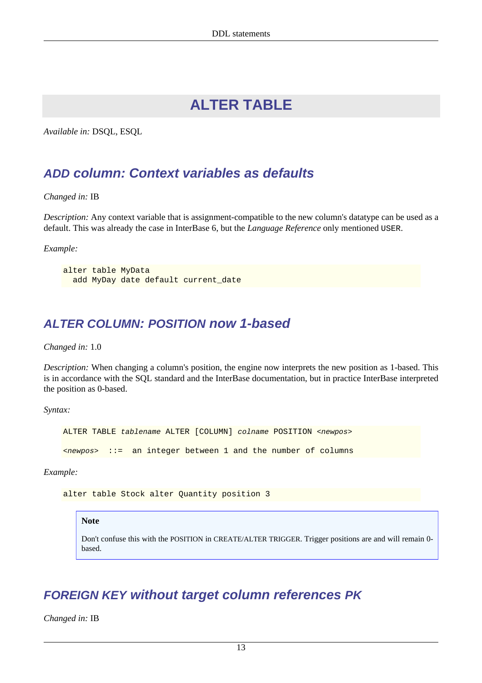# **ALTER TABLE**

<span id="page-20-1"></span><span id="page-20-0"></span>*Available in:* DSQL, ESQL

#### **ADD column: Context variables as defaults**

*Changed in:* IB

*Description:* Any context variable that is assignment-compatible to the new column's datatype can be used as a default. This was already the case in InterBase 6, but the *Language Reference* only mentioned USER.

*Example:*

```
alter table MyData
  add MyDay date default current_date
```
#### **ALTER COLUMN: POSITION now 1-based**

*Changed in:* 1.0

*Description:* When changing a column's position, the engine now interprets the new position as 1-based. This is in accordance with the SQL standard and the InterBase documentation, but in practice InterBase interpreted the position as 0-based.

*Syntax:*

ALTER TABLE tablename ALTER [COLUMN] colname POSITION <newpos>  $\langle newpos \rangle$  ::= an integer between 1 and the number of columns

*Example:*

alter table Stock alter Quantity position 3

#### **Note**

Don't confuse this with the POSITION in CREATE/ALTER TRIGGER. Trigger positions are and will remain 0 based.

#### <span id="page-20-3"></span>**FOREIGN KEY without target column references PK**

*Changed in:* IB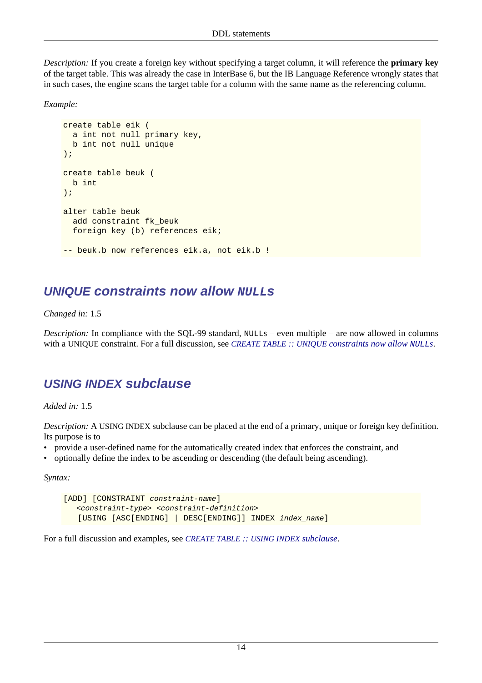*Description:* If you create a foreign key without specifying a target column, it will reference the **primary key** of the target table. This was already the case in InterBase 6, but the IB Language Reference wrongly states that in such cases, the engine scans the target table for a column with the same name as the referencing column.

*Example:*

```
create table eik (
  a int not null primary key,
  b int not null unique
);
create table beuk (
  b int
);
alter table beuk
  add constraint fk_beuk
  foreign key (b) references eik;
-- beuk.b now references eik.a, not eik.b !
```
#### <span id="page-21-0"></span>**UNIQUE** constraints now allow **NULLE**S

#### *Changed in:* 1.5

<span id="page-21-1"></span>*Description:* In compliance with the SQL-99 standard, NULLs – even multiple – are now allowed in columns with a UNIQUE constraint. For a full discussion, see *CREATE TABLE :: UNIQUE [constraints now allow](#page-26-0)* NULL*s*.

#### **USING INDEX subclause**

*Added in:* 1.5

*Description:* A USING INDEX subclause can be placed at the end of a primary, unique or foreign key definition. Its purpose is to

- provide a user-defined name for the automatically created index that enforces the constraint, and
- optionally define the index to be ascending or descending (the default being ascending).

*Syntax:*

```
[ADD] [CONSTRAINT constraint-name]
   <constraint-type> <constraint-definition>
    [USING [ASC[ENDING] | DESC[ENDING]] INDEX index_name]
```
For a full discussion and examples, see *[CREATE TABLE](#page-26-1) :: USING INDEX subclause*.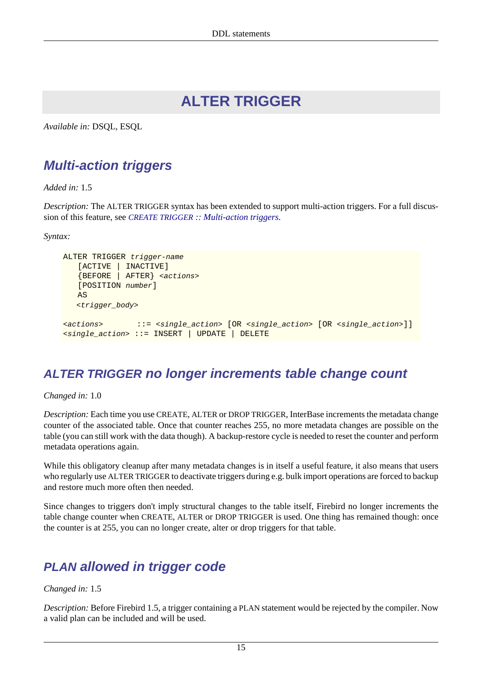# **ALTER TRIGGER**

<span id="page-22-1"></span><span id="page-22-0"></span>*Available in:* DSQL, ESQL

### **Multi-action triggers**

*Added in:* 1.5

*Description:* The ALTER TRIGGER syntax has been extended to support multi-action triggers. For a full discussion of this feature, see *CREATE TRIGGER [:: Multi-action triggers](#page-28-1)*.

*Syntax:*

```
ALTER TRIGGER trigger-name
    [ACTIVE | INACTIVE]
    {BEFORE | AFTER} <actions>
    [POSITION number]
    AS
   <trigger_body>
<actions> ::= <single_action> [OR <single_action> [OR <single_action>]]
<single_action> ::= INSERT | UPDATE | DELETE
```
### <span id="page-22-2"></span>**ALTER TRIGGER no longer increments table change count**

*Changed in:* 1.0

*Description:* Each time you use CREATE, ALTER or DROP TRIGGER, InterBase increments the metadata change counter of the associated table. Once that counter reaches 255, no more metadata changes are possible on the table (you can still work with the data though). A backup-restore cycle is needed to reset the counter and perform metadata operations again.

While this obligatory cleanup after many metadata changes is in itself a useful feature, it also means that users who regularly use ALTER TRIGGER to deactivate triggers during e.g. bulk import operations are forced to backup and restore much more often then needed.

Since changes to triggers don't imply structural changes to the table itself, Firebird no longer increments the table change counter when CREATE, ALTER or DROP TRIGGER is used. One thing has remained though: once the counter is at 255, you can no longer create, alter or drop triggers for that table.

### <span id="page-22-3"></span>**PLAN allowed in trigger code**

#### *Changed in:* 1.5

*Description:* Before Firebird 1.5, a trigger containing a PLAN statement would be rejected by the compiler. Now a valid plan can be included and will be used.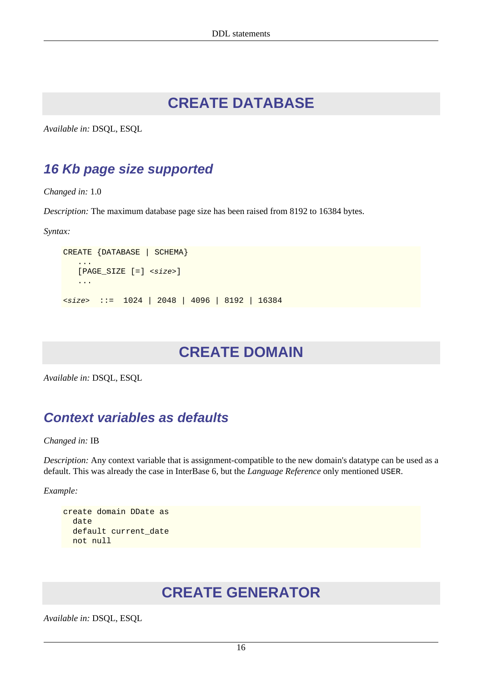# **CREATE DATABASE**

<span id="page-23-1"></span><span id="page-23-0"></span>*Available in:* DSQL, ESQL

### **16 Kb page size supported**

*Changed in:* 1.0

*Description:* The maximum database page size has been raised from 8192 to 16384 bytes.

*Syntax:*

```
CREATE {DATABASE | SCHEMA}
 ...
   [PAGE SIZE [=] <size>]
    ...
<size> ::= 1024 | 2048 | 4096 | 8192 | 16384
```
# **CREATE DOMAIN**

<span id="page-23-3"></span>*Available in:* DSQL, ESQL

### **Context variables as defaults**

*Changed in:* IB

*Description:* Any context variable that is assignment-compatible to the new domain's datatype can be used as a default. This was already the case in InterBase 6, but the *Language Reference* only mentioned USER.

*Example:*

```
create domain DDate as
   date
   default current_date
  not null
```
# **CREATE GENERATOR**

*Available in:* DSQL, ESQL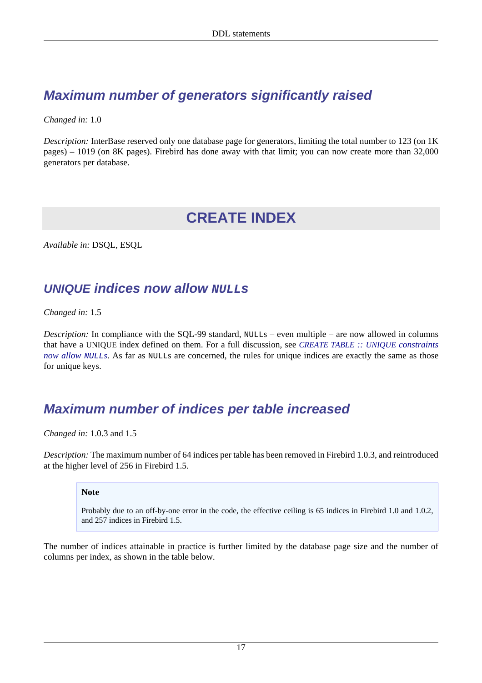## <span id="page-24-0"></span>**Maximum number of generators significantly raised**

*Changed in:* 1.0

<span id="page-24-1"></span>*Description:* InterBase reserved only one database page for generators, limiting the total number to 123 (on 1K) pages) – 1019 (on 8K pages). Firebird has done away with that limit; you can now create more than 32,000 generators per database.

## **CREATE INDEX**

<span id="page-24-2"></span>*Available in:* DSQL, ESQL

### **UNIQUE** indices now allow **NULL**<sub>S</sub>

*Changed in:* 1.5

*Description:* In compliance with the SQL-99 standard, NULLs – even multiple – are now allowed in columns that have a UNIQUE index defined on them. For a full discussion, see *[CREATE TABLE](#page-26-0) :: UNIQUE constraints [now allow](#page-26-0) NULLs*. As far as NULLs are concerned, the rules for unique indices are exactly the same as those for unique keys.

### <span id="page-24-3"></span>**Maximum number of indices per table increased**

*Changed in:* 1.0.3 and 1.5

*Description:* The maximum number of 64 indices per table has been removed in Firebird 1.0.3, and reintroduced at the higher level of 256 in Firebird 1.5.

#### **Note**

Probably due to an off-by-one error in the code, the effective ceiling is 65 indices in Firebird 1.0 and 1.0.2, and 257 indices in Firebird 1.5.

The number of indices attainable in practice is further limited by the database page size and the number of columns per index, as shown in the table below.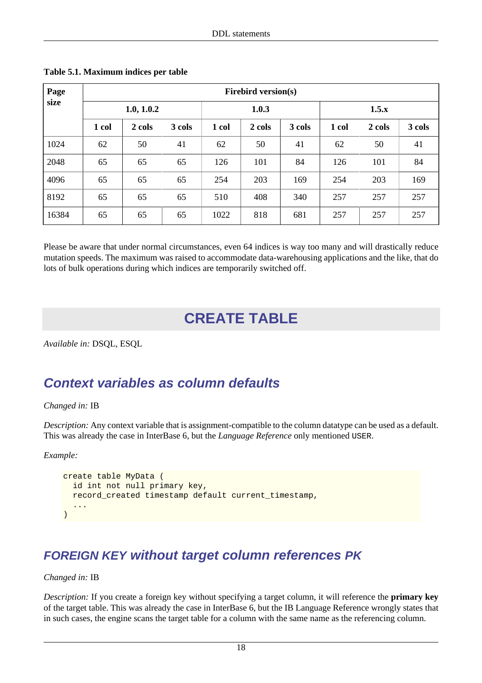| Page  | <b>Firebird version(s)</b> |        |        |       |        |        |       |        |        |
|-------|----------------------------|--------|--------|-------|--------|--------|-------|--------|--------|
| size  | 1.0, 1.0.2                 |        |        | 1.0.3 |        |        | 1.5.x |        |        |
|       | 1 col                      | 2 cols | 3 cols | 1 col | 2 cols | 3 cols | 1 col | 2 cols | 3 cols |
| 1024  | 62                         | 50     | 41     | 62    | 50     | 41     | 62    | 50     | 41     |
| 2048  | 65                         | 65     | 65     | 126   | 101    | 84     | 126   | 101    | 84     |
| 4096  | 65                         | 65     | 65     | 254   | 203    | 169    | 254   | 203    | 169    |
| 8192  | 65                         | 65     | 65     | 510   | 408    | 340    | 257   | 257    | 257    |
| 16384 | 65                         | 65     | 65     | 1022  | 818    | 681    | 257   | 257    | 257    |

<span id="page-25-3"></span>**Table 5.1. Maximum indices per table**

<span id="page-25-0"></span>Please be aware that under normal circumstances, even 64 indices is way too many and will drastically reduce mutation speeds. The maximum was raised to accommodate data-warehousing applications and the like, that do lots of bulk operations during which indices are temporarily switched off.

# **CREATE TABLE**

<span id="page-25-1"></span>*Available in:* DSQL, ESQL

### **Context variables as column defaults**

#### *Changed in:* IB

*Description:* Any context variable that is assignment-compatible to the column datatype can be used as a default. This was already the case in InterBase 6, but the *Language Reference* only mentioned USER.

*Example:*

```
create table MyData (
   id int not null primary key,
   record_created timestamp default current_timestamp,
 ...
\lambda
```
### <span id="page-25-2"></span>**FOREIGN KEY without target column references PK**

#### *Changed in:* IB

*Description:* If you create a foreign key without specifying a target column, it will reference the **primary key** of the target table. This was already the case in InterBase 6, but the IB Language Reference wrongly states that in such cases, the engine scans the target table for a column with the same name as the referencing column.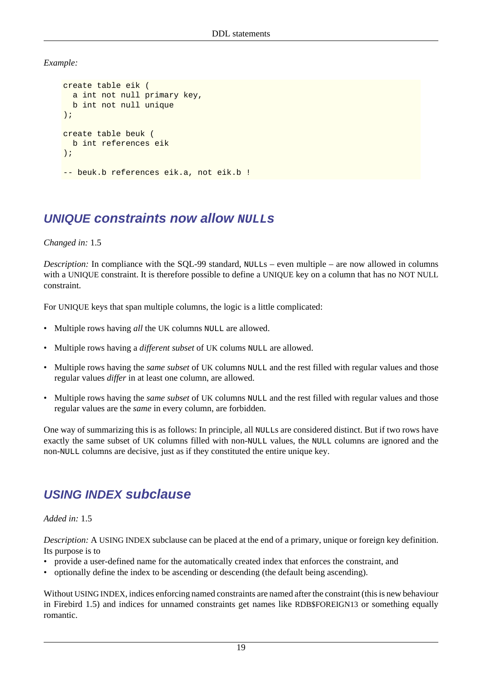*Example:*

```
create table eik (
   a int not null primary key,
   b int not null unique
);
create table beuk (
   b int references eik
);
-- beuk.b references eik.a, not eik.b !
```
### <span id="page-26-0"></span>**UNIQUE** constraints now allow **NULL**<sub>S</sub>

#### *Changed in:* 1.5

*Description:* In compliance with the SQL-99 standard, NULLs – even multiple – are now allowed in columns with a UNIQUE constraint. It is therefore possible to define a UNIQUE key on a column that has no NOT NULL constraint.

For UNIQUE keys that span multiple columns, the logic is a little complicated:

- Multiple rows having *all* the UK columns NULL are allowed.
- Multiple rows having a *different subset* of UK colums NULL are allowed.
- Multiple rows having the *same subset* of UK columns NULL and the rest filled with regular values and those regular values *differ* in at least one column, are allowed.
- Multiple rows having the *same subset* of UK columns NULL and the rest filled with regular values and those regular values are the *same* in every column, are forbidden.

One way of summarizing this is as follows: In principle, all NULLs are considered distinct. But if two rows have exactly the same subset of UK columns filled with non-NULL values, the NULL columns are ignored and the non-NULL columns are decisive, just as if they constituted the entire unique key.

### <span id="page-26-1"></span>**USING INDEX subclause**

#### *Added in:* 1.5

*Description:* A USING INDEX subclause can be placed at the end of a primary, unique or foreign key definition. Its purpose is to

- provide a user-defined name for the automatically created index that enforces the constraint, and
- optionally define the index to be ascending or descending (the default being ascending).

Without USING INDEX, indices enforcing named constraints are named after the constraint (this is new behaviour in Firebird 1.5) and indices for unnamed constraints get names like RDB\$FOREIGN13 or something equally romantic.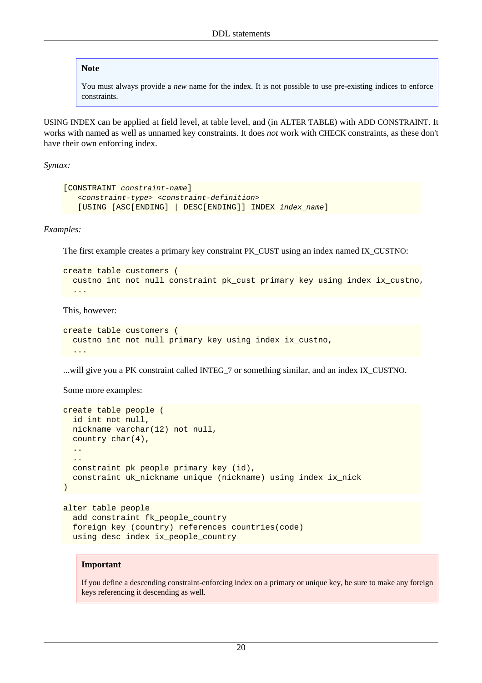#### **Note**

You must always provide a *new* name for the index. It is not possible to use pre-existing indices to enforce constraints.

USING INDEX can be applied at field level, at table level, and (in ALTER TABLE) with ADD CONSTRAINT. It works with named as well as unnamed key constraints. It does *not* work with CHECK constraints, as these don't have their own enforcing index.

*Syntax:*

```
[CONSTRAINT constraint-name]
    <constraint-type> <constraint-definition>
    [USING [ASC[ENDING] | DESC[ENDING]] INDEX index_name]
```
*Examples:*

The first example creates a primary key constraint PK\_CUST using an index named IX\_CUSTNO:

```
create table customers (
  custno int not null constraint pk_cust primary key using index ix_custno,
 ...
```
This, however:

```
create table customers (
   custno int not null primary key using index ix_custno,
   ...
```
...will give you a PK constraint called INTEG\_7 or something similar, and an index IX\_CUSTNO.

Some more examples:

```
create table people (
   id int not null,
   nickname varchar(12) not null,
   country char(4),
   ..
 ..
  constraint pk people primary key (id),
   constraint uk_nickname unique (nickname) using index ix_nick
)
```

```
alter table people
  add constraint fk_people_country
   foreign key (country) references countries(code)
  using desc index ix_people_country
```
#### **Important**

If you define a descending constraint-enforcing index on a primary or unique key, be sure to make any foreign keys referencing it descending as well.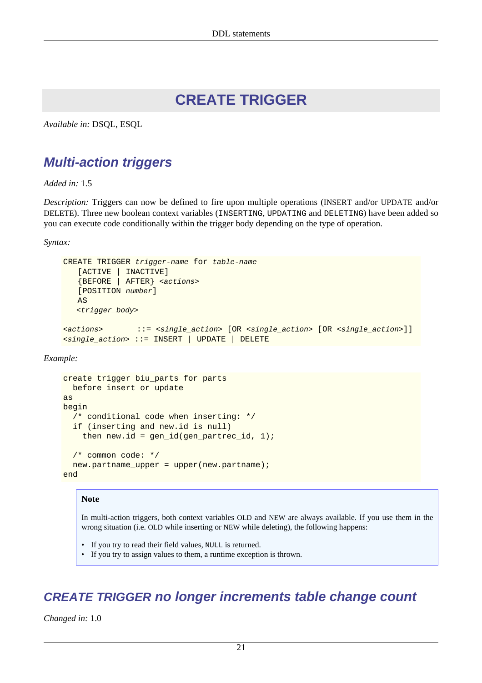# **CREATE TRIGGER**

<span id="page-28-1"></span><span id="page-28-0"></span>*Available in:* DSQL, ESQL

### **Multi-action triggers**

*Added in:* 1.5

*Description:* Triggers can now be defined to fire upon multiple operations (INSERT and/or UPDATE and/or DELETE). Three new boolean context variables (INSERTING, UPDATING and DELETING) have been added so you can execute code conditionally within the trigger body depending on the type of operation.

*Syntax:*

```
CREATE TRIGGER trigger-name for table-name
    [ACTIVE | INACTIVE]
    {BEFORE | AFTER} <actions>
    [POSITION number]
    AS
   <trigger_body>
<actions> ::= <single_action> [OR <single_action> [OR <single_action>]]
<single_action> ::= INSERT | UPDATE | DELETE
```
*Example:*

```
create trigger biu parts for parts
  before insert or update
as
begin
  /* conditional code when inserting: */
  if (inserting and new.id is null)
    then new.id = gen_id(gen\_partner_id, 1); /* common code: */
  new.partname_upper = upper(new.partname);
end
```
#### **Note**

In multi-action triggers, both context variables OLD and NEW are always available. If you use them in the wrong situation (i.e. OLD while inserting or NEW while deleting), the following happens:

- If you try to read their field values, NULL is returned.
- If you try to assign values to them, a runtime exception is thrown.

### <span id="page-28-2"></span>**CREATE TRIGGER no longer increments table change count**

*Changed in:* 1.0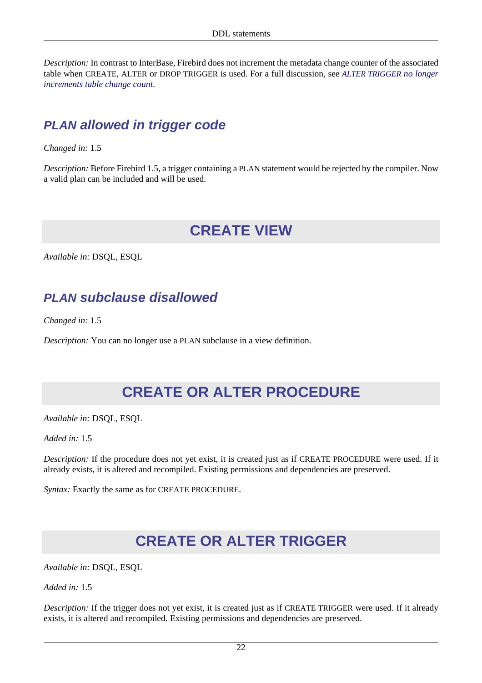*Description:* In contrast to InterBase, Firebird does not increment the metadata change counter of the associated table when CREATE, ALTER or DROP TRIGGER is used. For a full discussion, see *[ALTER TRIGGER](#page-22-2) no longer [increments table change count](#page-22-2)*.

### <span id="page-29-0"></span>**PLAN allowed in trigger code**

*Changed in:* 1.5

<span id="page-29-1"></span>*Description:* Before Firebird 1.5, a trigger containing a PLAN statement would be rejected by the compiler. Now a valid plan can be included and will be used.

# **CREATE VIEW**

<span id="page-29-2"></span>*Available in:* DSQL, ESQL

### **PLAN subclause disallowed**

*Changed in:* 1.5

<span id="page-29-3"></span>*Description:* You can no longer use a PLAN subclause in a view definition.

# **CREATE OR ALTER PROCEDURE**

*Available in:* DSQL, ESQL

*Added in:* 1.5

*Description:* If the procedure does not yet exist, it is created just as if CREATE PROCEDURE were used. If it already exists, it is altered and recompiled. Existing permissions and dependencies are preserved.

<span id="page-29-4"></span>*Syntax:* Exactly the same as for CREATE PROCEDURE.

# **CREATE OR ALTER TRIGGER**

*Available in:* DSQL, ESQL

*Added in:* 1.5

*Description:* If the trigger does not yet exist, it is created just as if CREATE TRIGGER were used. If it already exists, it is altered and recompiled. Existing permissions and dependencies are preserved.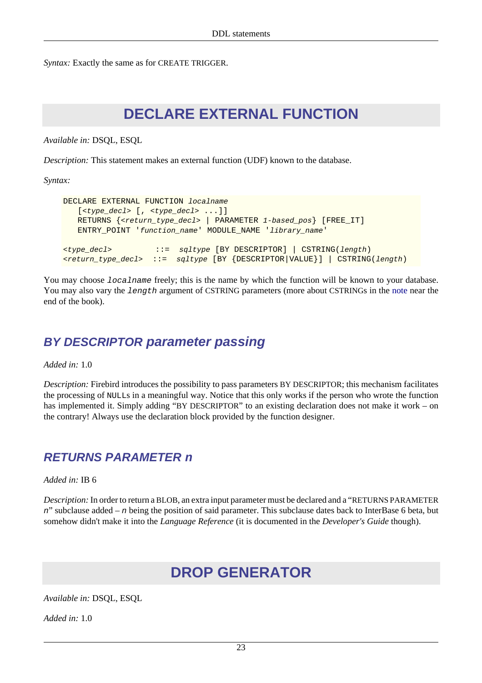<span id="page-30-0"></span>*Syntax:* Exactly the same as for CREATE TRIGGER.

## **DECLARE EXTERNAL FUNCTION**

*Available in:* DSQL, ESQL

*Description:* This statement makes an external function (UDF) known to the database.

*Syntax:*

```
DECLARE EXTERNAL FUNCTION localname
    [<type_decl> [, <type_decl> ...]]
   RETURNS {<return_type_decl> | PARAMETER 1-based_pos} [FREE IT]
    ENTRY_POINT 'function_name' MODULE_NAME 'library_name'
<type_decl> ::= sqltype [BY DESCRIPTOR] | CSTRING(length)
\checkmarkreturn_type_decl> := sqltype [BY {DESCRIPTOR |VALUE}] | CSTRING(length)
```
You may choose *localname* freely; this is the name by which the function will be known to your database. You may also vary the length argument of CSTRING parameters (more about CSTRINGs in the [note](#page-84-0) near the end of the book).

#### <span id="page-30-1"></span>**BY DESCRIPTOR parameter passing**

*Added in:* 1.0

*Description:* Firebird introduces the possibility to pass parameters BY DESCRIPTOR; this mechanism facilitates the processing of NULLs in a meaningful way. Notice that this only works if the person who wrote the function has implemented it. Simply adding "BY DESCRIPTOR" to an existing declaration does not make it work – on the contrary! Always use the declaration block provided by the function designer.

#### <span id="page-30-2"></span>**RETURNS PARAMETER n**

*Added in:* IB 6

<span id="page-30-3"></span>*Description:* In order to return a BLOB, an extra input parameter must be declared and a "RETURNS PARAMETER n" subclause added – n being the position of said parameter. This subclause dates back to InterBase 6 beta, but somehow didn't make it into the *Language Reference* (it is documented in the *Developer's Guide* though).

# **DROP GENERATOR**

*Available in:* DSQL, ESQL

*Added in:* 1.0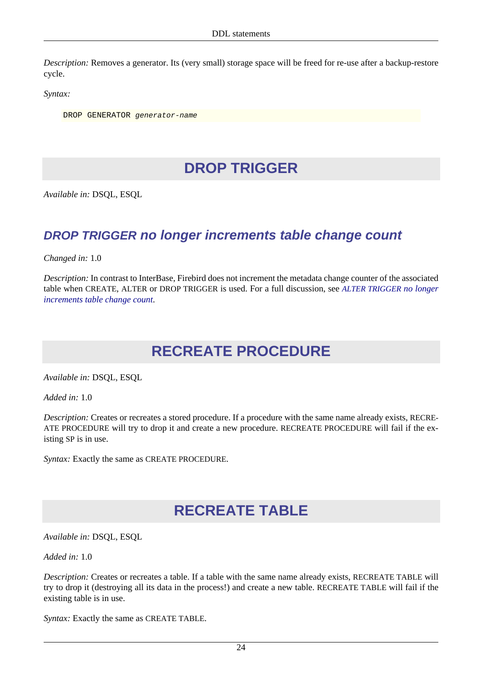*Description:* Removes a generator. Its (very small) storage space will be freed for re-use after a backup-restore cycle.

*Syntax:*

<span id="page-31-0"></span>DROP GENERATOR generator-name

# **DROP TRIGGER**

<span id="page-31-1"></span>*Available in:* DSQL, ESQL

#### **DROP TRIGGER no longer increments table change count**

*Changed in:* 1.0

<span id="page-31-2"></span>*Description:* In contrast to InterBase, Firebird does not increment the metadata change counter of the associated table when CREATE, ALTER or DROP TRIGGER is used. For a full discussion, see *[ALTER TRIGGER](#page-22-2) no longer [increments table change count](#page-22-2)*.

# **RECREATE PROCEDURE**

*Available in:* DSQL, ESQL

*Added in:* 1.0

*Description:* Creates or recreates a stored procedure. If a procedure with the same name already exists, RECRE-ATE PROCEDURE will try to drop it and create a new procedure. RECREATE PROCEDURE will fail if the existing SP is in use.

<span id="page-31-3"></span>*Syntax:* Exactly the same as CREATE PROCEDURE.

## **RECREATE TABLE**

*Available in:* DSQL, ESQL

*Added in:* 1.0

*Description:* Creates or recreates a table. If a table with the same name already exists, RECREATE TABLE will try to drop it (destroying all its data in the process!) and create a new table. RECREATE TABLE will fail if the existing table is in use.

*Syntax:* Exactly the same as CREATE TABLE.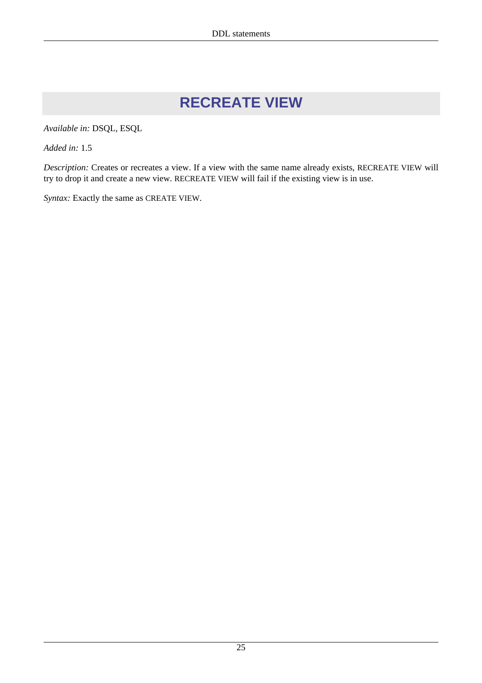# **RECREATE VIEW**

<span id="page-32-0"></span>*Available in:* DSQL, ESQL

*Added in:* 1.5

*Description:* Creates or recreates a view. If a view with the same name already exists, RECREATE VIEW will try to drop it and create a new view. RECREATE VIEW will fail if the existing view is in use.

*Syntax:* Exactly the same as CREATE VIEW.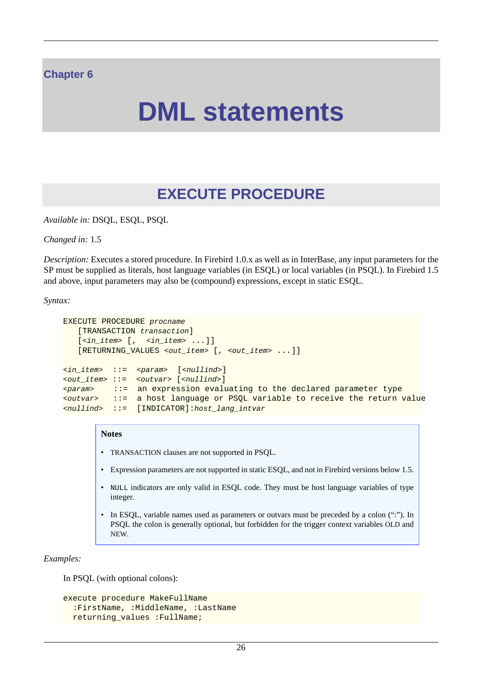#### <span id="page-33-0"></span>**Chapter 6**

# **DML statements**

# **EXECUTE PROCEDURE**

<span id="page-33-1"></span>*Available in:* DSQL, ESQL, PSQL

*Changed in:* 1.5

*Description:* Executes a stored procedure. In Firebird 1.0.x as well as in InterBase, any input parameters for the SP must be supplied as literals, host language variables (in ESQL) or local variables (in PSQL). In Firebird 1.5 and above, input parameters may also be (compound) expressions, except in static ESQL.

*Syntax:*

```
EXECUTE PROCEDURE procname
     [TRANSACTION transaction]
    [\n<sub>in_i</sub> item&gt; [ , -\n<sub>in_i</sub> item&gt; ... ] ] [RETURNING_VALUES <out_item> [, <out_item> ...]]
\langle \sin \text{item} \rangle ::= \langle \text{param} \rangle [\langle \text{null} \text{ind} \rangle]
<out_item> ::= <outvar> [<nullind>]
\epsilon \epsilon \epsilon ::= an expression evaluating to the declared parameter type
<outvar> ::= a host language or PSQL variable to receive the return value
<nullind> ::= [INDICATOR]:host_lang_intvar
```
#### **Notes**

- TRANSACTION clauses are not supported in PSQL.
- Expression parameters are not supported in static ESQL, and not in Firebird versions below 1.5.
- NULL indicators are only valid in ESQL code. They must be host language variables of type integer.
- In ESQL, variable names used as parameters or outvars must be preceded by a colon (":"). In PSQL the colon is generally optional, but forbidden for the trigger context variables OLD and NEW.

*Examples:*

In PSQL (with optional colons):

```
execute procedure MakeFullName
  :FirstName, :MiddleName, :LastName
  returning_values :FullName;
```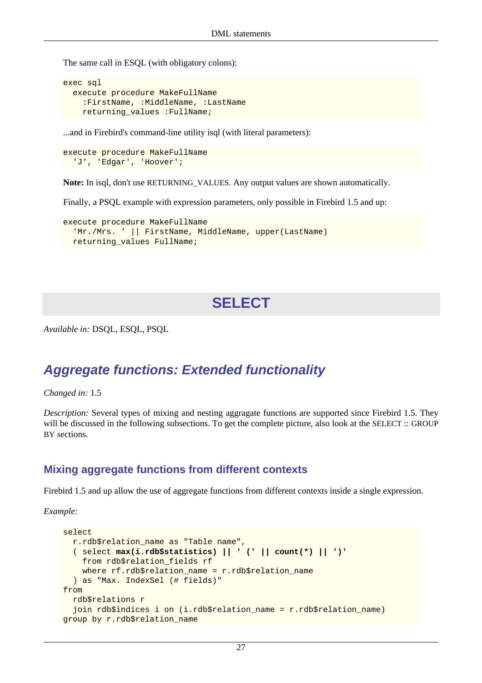The same call in ESQL (with obligatory colons):

```
exec sql
   execute procedure MakeFullName
     :FirstName, :MiddleName, :LastName
    returning values : FullName;
```
...and in Firebird's command-line utility isql (with literal parameters):

```
execute procedure MakeFullName
   'J', 'Edgar', 'Hoover';
```
**Note:** In isql, don't use RETURNING\_VALUES. Any output values are shown automatically.

Finally, a PSQL example with expression parameters, only possible in Firebird 1.5 and up:

```
execute procedure MakeFullName
  'Mr./Mrs. ' || FirstName, MiddleName, upper(LastName)
 returning values FullName;
```
## **SELECT**

<span id="page-34-1"></span>*Available in:* DSQL, ESQL, PSQL

#### **Aggregate functions: Extended functionality**

*Changed in:* 1.5

*Description:* Several types of mixing and nesting aggragate functions are supported since Firebird 1.5. They will be discussed in the following subsections. To get the complete picture, also look at the SELECT :: GROUP BY sections.

#### **Mixing aggregate functions from different contexts**

Firebird 1.5 and up allow the use of aggregate functions from different contexts inside a single expression.

```
select
  r.rdb$relation_name as "Table name",
   ( select max(i.rdb$statistics) || ' (' || count(*) || ')'
     from rdb$relation_fields rf
     where rf.rdb$relation_name = r.rdb$relation_name
   ) as "Max. IndexSel (# fields)"
from
   rdb$relations r
  join rdb$indices i on (i.rdb$relation name = r.rdb$relation name)
group by r.rdb$relation_name
```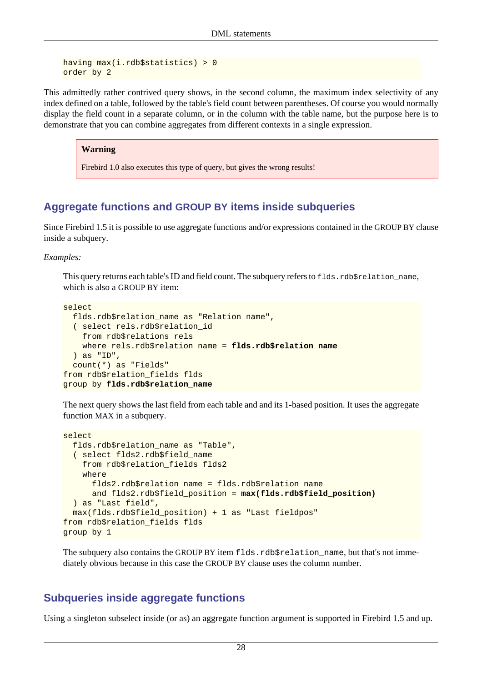```
having max(i.rdb$statistics) > 0
order by 2
```
This admittedly rather contrived query shows, in the second column, the maximum index selectivity of any index defined on a table, followed by the table's field count between parentheses. Of course you would normally display the field count in a separate column, or in the column with the table name, but the purpose here is to demonstrate that you can combine aggregates from different contexts in a single expression.

#### **Warning**

Firebird 1.0 also executes this type of query, but gives the wrong results!

#### **Aggregate functions and GROUP BY items inside subqueries**

Since Firebird 1.5 it is possible to use aggregate functions and/or expressions contained in the GROUP BY clause inside a subquery.

#### *Examples:*

This query returns each table's ID and field count. The subquery refers to flds.rdb\$relation\_name, which is also a GROUP BY item:

```
select
  flds.rdb$relation name as "Relation name",
   ( select rels.rdb$relation_id
     from rdb$relations rels
     where rels.rdb$relation_name = flds.rdb$relation_name
   ) as "ID",
   count(*) as "Fields"
from rdb$relation_fields flds
group by flds.rdb$relation_name
```
The next query shows the last field from each table and and its 1-based position. It uses the aggregate function MAX in a subquery.

```
select
  flds.rdb$relation_name as "Table",
   ( select flds2.rdb$field_name
     from rdb$relation_fields flds2
     where
       flds2.rdb$relation_name = flds.rdb$relation_name
       and flds2.rdb$field_position = max(flds.rdb$field_position)
   ) as "Last field",
  max(flds.rdb$field_position) + 1 as "Last fieldpos"
from rdb$relation_fields flds
group by 1
```
The subquery also contains the GROUP BY item flds.rdb\$relation\_name, but that's not immediately obvious because in this case the GROUP BY clause uses the column number.

#### **Subqueries inside aggregate functions**

Using a singleton subselect inside (or as) an aggregate function argument is supported in Firebird 1.5 and up.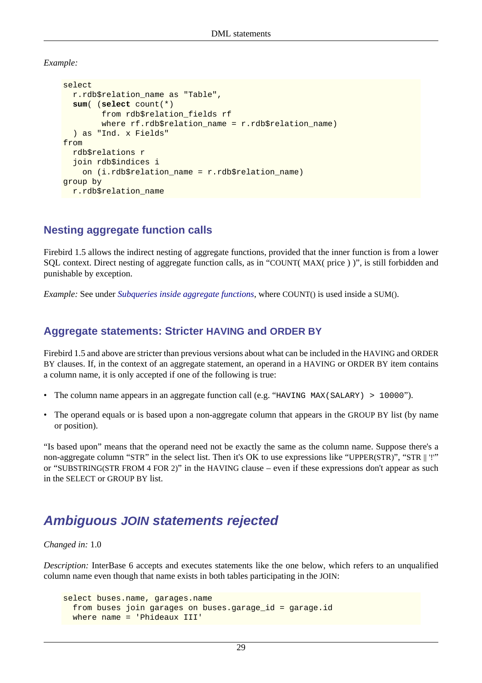*Example:*

```
select
   r.rdb$relation_name as "Table",
   sum( (select count(*)
         from rdb$relation_fields rf
         where rf.rdb$relation_name = r.rdb$relation_name)
   ) as "Ind. x Fields"
from
   rdb$relations r
   join rdb$indices i
     on (i.rdb$relation_name = r.rdb$relation_name)
group by
   r.rdb$relation_name
```
#### **Nesting aggregate function calls**

Firebird 1.5 allows the indirect nesting of aggregate functions, provided that the inner function is from a lower SQL context. Direct nesting of aggregate function calls, as in "COUNT( MAX( price ) )", is still forbidden and punishable by exception.

<span id="page-36-0"></span>*Example:* See under *[Subqueries inside aggregate functions](#page-35-0)*, where COUNT() is used inside a SUM().

#### **Aggregate statements: Stricter HAVING and ORDER BY**

Firebird 1.5 and above are stricter than previous versions about what can be included in the HAVING and ORDER BY clauses. If, in the context of an aggregate statement, an operand in a HAVING or ORDER BY item contains a column name, it is only accepted if one of the following is true:

- The column name appears in an aggregate function call (e.g. "HAVING MAX(SALARY) > 10000").
- The operand equals or is based upon a non-aggregate column that appears in the GROUP BY list (by name or position).

"Is based upon" means that the operand need not be exactly the same as the column name. Suppose there's a non-aggregate column "STR" in the select list. Then it's OK to use expressions like "UPPER(STR)", "STR || '!'" or "SUBSTRING(STR FROM 4 FOR 2)" in the HAVING clause – even if these expressions don't appear as such in the SELECT or GROUP BY list.

## **Ambiguous JOIN statements rejected**

*Changed in:* 1.0

*Description:* InterBase 6 accepts and executes statements like the one below, which refers to an unqualified column name even though that name exists in both tables participating in the JOIN:

```
select buses.name, garages.name
  from buses join garages on buses.garage_id = garage.id
  where name = 'Phideaux III'
```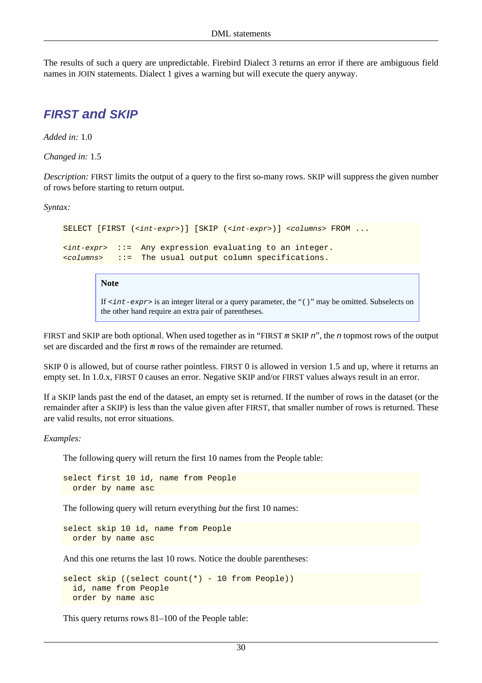The results of such a query are unpredictable. Firebird Dialect 3 returns an error if there are ambiguous field names in JOIN statements. Dialect 1 gives a warning but will execute the query anyway.

### **FIRST and SKIP**

*Added in:* 1.0

*Changed in:* 1.5

*Description:* FIRST limits the output of a query to the first so-many rows. SKIP will suppress the given number of rows before starting to return output.

*Syntax:*

```
SELECT [FIRST (<int-expr>)] [SKIP (<int-expr>)] <columns> FROM ...
\langleint-expr> : = Any expression evaluating to an integer.
<columns> ::= The usual output column specifications.
```
**Note**

If  $\langle$  int-expr> is an integer literal or a query parameter, the "()" may be omitted. Subselects on the other hand require an extra pair of parentheses.

FIRST and SKIP are both optional. When used together as in "FIRST m SKIP n", the n topmost rows of the output set are discarded and the first m rows of the remainder are returned.

SKIP 0 is allowed, but of course rather pointless. FIRST 0 is allowed in version 1.5 and up, where it returns an empty set. In 1.0.x, FIRST 0 causes an error. Negative SKIP and/or FIRST values always result in an error.

If a SKIP lands past the end of the dataset, an empty set is returned. If the number of rows in the dataset (or the remainder after a SKIP) is less than the value given after FIRST, that smaller number of rows is returned. These are valid results, not error situations.

#### *Examples:*

The following query will return the first 10 names from the People table:

select first 10 id, name from People order by name asc

The following query will return everything *but* the first 10 names:

select skip 10 id, name from People order by name asc

And this one returns the last 10 rows. Notice the double parentheses:

```
select skip ((select count(*) - 10 from People))
   id, name from People
   order by name asc
```
This query returns rows 81–100 of the People table: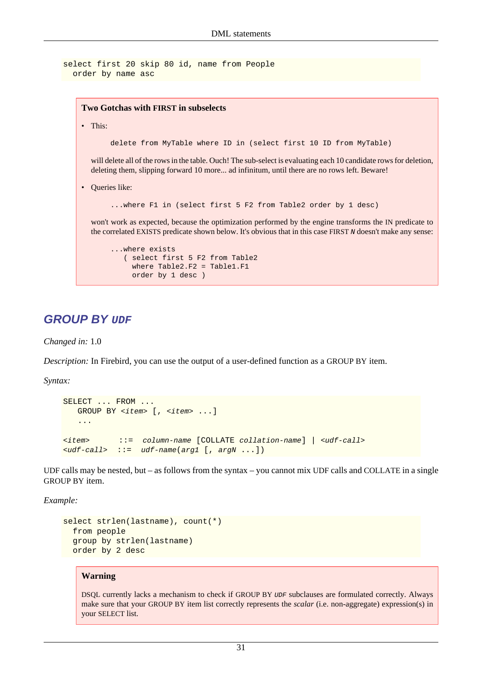```
select first 20 skip 80 id, name from People
   order by name asc
```
#### **Two Gotchas with FIRST in subselects**

• This:

delete from MyTable where ID in (select first 10 ID from MyTable)

will delete all of the rows in the table. Ouch! The sub-select is evaluating each 10 candidate rows for deletion, deleting them, slipping forward 10 more... ad infinitum, until there are no rows left. Beware!

• Queries like:

...where F1 in (select first 5 F2 from Table2 order by 1 desc)

won't work as expected, because the optimization performed by the engine transforms the IN predicate to the correlated EXISTS predicate shown below. It's obvious that in this case FIRST N doesn't make any sense:

```
...where exists
    ( select first 5 F2 from Table2
     where Table2.F2 = Table1.F1
     order by 1 desc )
```
#### **GROUP BY UDF**

*Changed in:* 1.0

*Description:* In Firebird, you can use the output of a user-defined function as a GROUP BY item.

*Syntax:*

```
SELECT ... FROM ...
  GROUP BY <item> [, <item> ...]
    ...
<item> ::= column-name [COLLATE collation-name] | <udf-call>
<udf-call> ::= udf-name(arg1 [, argN ...])
```
UDF calls may be nested, but – as follows from the syntax – you cannot mix UDF calls and COLLATE in a single GROUP BY item.

*Example:*

```
select strlen(lastname), count(*)
   from people
   group by strlen(lastname)
   order by 2 desc
```
#### **Warning**

DSQL currently lacks a mechanism to check if GROUP BY UDF subclauses are formulated correctly. Always make sure that your GROUP BY item list correctly represents the *scalar* (i.e. non-aggregate) expression(s) in your SELECT list.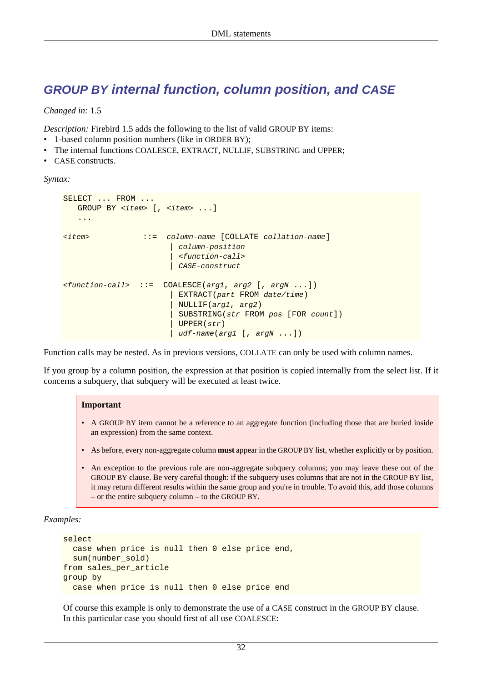## **GROUP BY internal function, column position, and CASE**

*Changed in:* 1.5

*Description:* Firebird 1.5 adds the following to the list of valid GROUP BY items:

- 1-based column position numbers (like in ORDER BY);
- The internal functions COALESCE, EXTRACT, NULLIF, SUBSTRING and UPPER;
- CASE constructs.

*Syntax:*

```
SELECT ... FROM ...
   GROUP BY <item> [, <item> ...]
    ...
<item> ::= column-name [COLLATE collation-name]
                           | column-position
                           | <function-call>
                          | CASE-construct
\n  <function-call> := COALESCE(arg1, arg2 [, argN ...])
                         | EXTRACT(part FROM date/time)
                           | NULLIF(arg1, arg2)
                           | SUBSTRING(str FROM pos [FOR count])
                           | UPPER(str)
                          udf-name(arg1 [, argN ...])
```
Function calls may be nested. As in previous versions, COLLATE can only be used with column names.

If you group by a column position, the expression at that position is copied internally from the select list. If it concerns a subquery, that subquery will be executed at least twice.

#### **Important**

- A GROUP BY item cannot be a reference to an aggregate function (including those that are buried inside an expression) from the same context.
- As before, every non-aggregate column **must** appear in the GROUP BY list, whether explicitly or by position.
- An exception to the previous rule are non-aggregate subquery columns; you may leave these out of the GROUP BY clause. Be very careful though: if the subquery uses columns that are not in the GROUP BY list, it may return different results within the same group and you're in trouble. To avoid this, add those columns – or the entire subquery column – to the GROUP BY.

*Examples:*

```
select
  case when price is null then 0 else price end,
 sum(number_sold)
from sales_per_article
group by
   case when price is null then 0 else price end
```
Of course this example is only to demonstrate the use of a CASE construct in the GROUP BY clause. In this particular case you should first of all use COALESCE: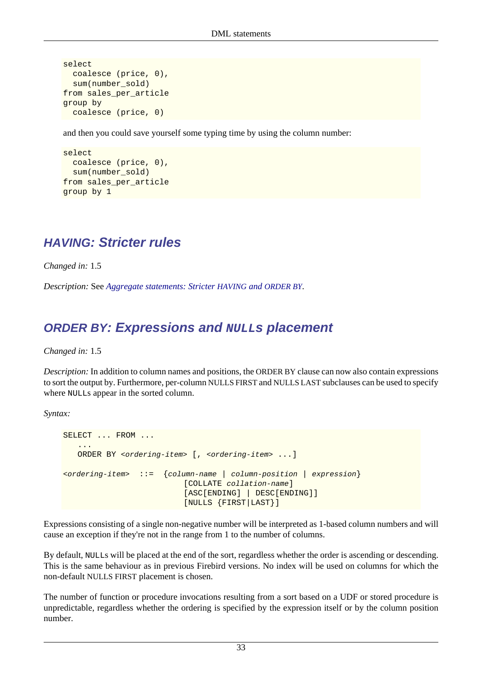```
select
   coalesce (price, 0),
   sum(number_sold)
from sales per article
group by
   coalesce (price, 0)
```
and then you could save yourself some typing time by using the column number:

```
select
   coalesce (price, 0),
   sum(number_sold)
from sales per article
group by 1
```
## **HAVING: Stricter rules**

*Changed in:* 1.5

*Description:* See *[Aggregate statements: Stricter](#page-36-0) HAVING and ORDER BY*.

## **ORDER BY: Expressions and NULLs placement**

*Changed in:* 1.5

*Description:* In addition to column names and positions, the ORDER BY clause can now also contain expressions to sort the output by. Furthermore, per-column NULLS FIRST and NULLS LAST subclauses can be used to specify where NULLs appear in the sorted column.

*Syntax:*

```
SELECT ... FROM ...
 ...
    ORDER BY <ordering-item> [, <ordering-item> ...]
<ordering-item> ::= {column-name | column-position | expression}
                           [COLLATE collation-name]
                           [ASC[ENDING] | DESC[ENDING]]
                           [NULLS {FIRST|LAST}]
```
Expressions consisting of a single non-negative number will be interpreted as 1-based column numbers and will cause an exception if they're not in the range from 1 to the number of columns.

By default, NULLs will be placed at the end of the sort, regardless whether the order is ascending or descending. This is the same behaviour as in previous Firebird versions. No index will be used on columns for which the non-default NULLS FIRST placement is chosen.

The number of function or procedure invocations resulting from a sort based on a UDF or stored procedure is unpredictable, regardless whether the ordering is specified by the expression itself or by the column position number.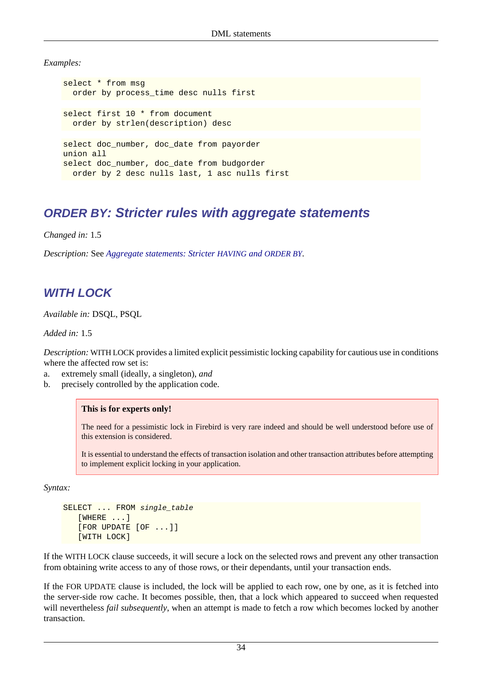*Examples:*

select \* from msg order by process\_time desc nulls first select first 10 \* from document order by strlen(description) desc select doc\_number, doc\_date from payorder union all select doc\_number, doc\_date from budgorder order by 2 desc nulls last, 1 asc nulls first

## **ORDER BY: Stricter rules with aggregate statements**

*Changed in:* 1.5

*Description:* See *[Aggregate statements: Stricter](#page-36-0) HAVING and ORDER BY*.

## **WITH LOCK**

*Available in:* DSQL, PSQL

*Added in:* 1.5

*Description:* WITH LOCK provides a limited explicit pessimistic locking capability for cautious use in conditions where the affected row set is:

- a. extremely small (ideally, a singleton), *and*
- b. precisely controlled by the application code.

#### **This is for experts only!**

The need for a pessimistic lock in Firebird is very rare indeed and should be well understood before use of this extension is considered.

It is essential to understand the effects of transaction isolation and other transaction attributes before attempting to implement explicit locking in your application.

*Syntax:*

```
SELECT ... FROM single_table
    [WHERE ...]
    [FOR UPDATE [OF ...]]
    [WITH LOCK]
```
If the WITH LOCK clause succeeds, it will secure a lock on the selected rows and prevent any other transaction from obtaining write access to any of those rows, or their dependants, until your transaction ends.

If the FOR UPDATE clause is included, the lock will be applied to each row, one by one, as it is fetched into the server-side row cache. It becomes possible, then, that a lock which appeared to succeed when requested will nevertheless *fail subsequently*, when an attempt is made to fetch a row which becomes locked by another transaction.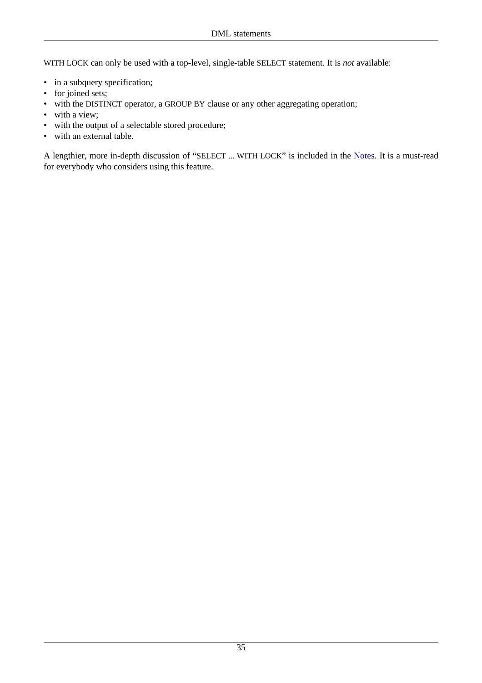WITH LOCK can only be used with a top-level, single-table SELECT statement. It is *not* available:

- in a subquery specification;
- for joined sets;
- with the DISTINCT operator, a GROUP BY clause or any other aggregating operation;
- with a view;
- with the output of a selectable stored procedure;
- with an external table.

A lengthier, more in-depth discussion of "SELECT ... WITH LOCK" is included in the [Notes](#page-81-0). It is a must-read for everybody who considers using this feature.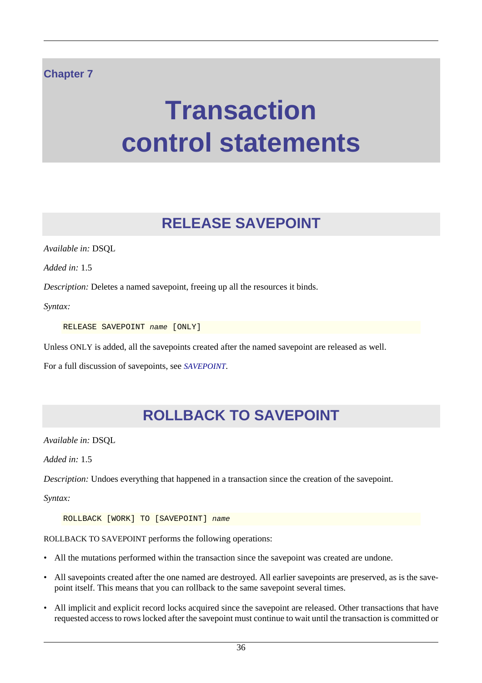#### **Chapter 7**

# **Transaction control statements**

# **RELEASE SAVEPOINT**

*Available in:* DSQL

*Added in:* 1.5

*Description:* Deletes a named savepoint, freeing up all the resources it binds.

*Syntax:*

RELEASE SAVEPOINT name [ONLY]

Unless ONLY is added, all the savepoints created after the named savepoint are released as well.

For a full discussion of savepoints, see *[SAVEPOINT](#page-44-0)*.

# **ROLLBACK TO SAVEPOINT**

*Available in:* DSQL

*Added in:* 1.5

*Description:* Undoes everything that happened in a transaction since the creation of the savepoint.

*Syntax:*

ROLLBACK [WORK] TO [SAVEPOINT] name

ROLLBACK TO SAVEPOINT performs the following operations:

- All the mutations performed within the transaction since the savepoint was created are undone.
- All savepoints created after the one named are destroyed. All earlier savepoints are preserved, as is the savepoint itself. This means that you can rollback to the same savepoint several times.
- All implicit and explicit record locks acquired since the savepoint are released. Other transactions that have requested access to rows locked after the savepoint must continue to wait until the transaction is committed or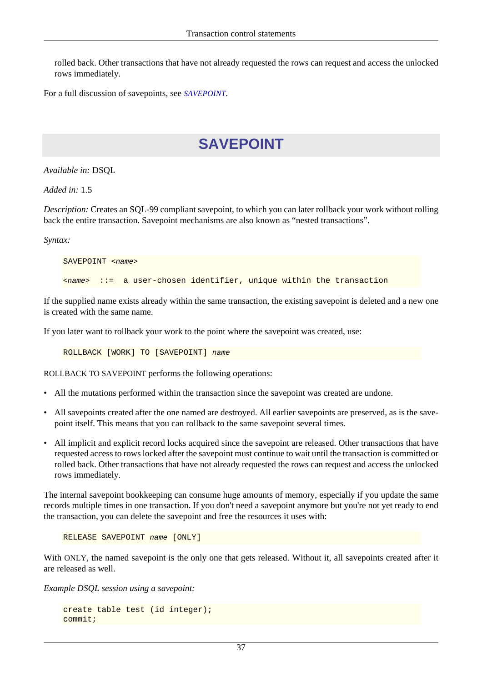rolled back. Other transactions that have not already requested the rows can request and access the unlocked rows immediately.

<span id="page-44-0"></span>For a full discussion of savepoints, see *[SAVEPOINT](#page-44-0)*.

# **SAVEPOINT**

*Available in:* DSQL

*Added in:* 1.5

*Description:* Creates an SQL-99 compliant savepoint, to which you can later rollback your work without rolling back the entire transaction. Savepoint mechanisms are also known as "nested transactions".

*Syntax:*

```
SAVEPOINT < name>
\langle z = z = z = z user-chosen identifier, unique within the transaction
```
If the supplied name exists already within the same transaction, the existing savepoint is deleted and a new one is created with the same name.

If you later want to rollback your work to the point where the savepoint was created, use:

ROLLBACK [WORK] TO [SAVEPOINT] name

ROLLBACK TO SAVEPOINT performs the following operations:

- All the mutations performed within the transaction since the savepoint was created are undone.
- All savepoints created after the one named are destroyed. All earlier savepoints are preserved, as is the savepoint itself. This means that you can rollback to the same savepoint several times.
- All implicit and explicit record locks acquired since the savepoint are released. Other transactions that have requested access to rows locked after the savepoint must continue to wait until the transaction is committed or rolled back. Other transactions that have not already requested the rows can request and access the unlocked rows immediately.

The internal savepoint bookkeeping can consume huge amounts of memory, especially if you update the same records multiple times in one transaction. If you don't need a savepoint anymore but you're not yet ready to end the transaction, you can delete the savepoint and free the resources it uses with:

```
RELEASE SAVEPOINT name [ONLY]
```
With ONLY, the named savepoint is the only one that gets released. Without it, all savepoints created after it are released as well.

*Example DSQL session using a savepoint:*

```
create table test (id integer);
commit;
```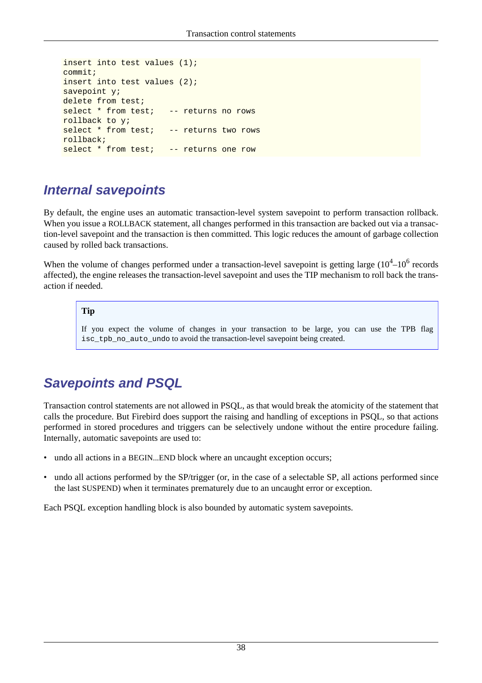```
insert into test values (1);
commit;
insert into test values (2);
savepoint y;
delete from test;
select * from test; -- returns no rows
rollback to y;
select * from test; -- returns two rows
rollback;
select * from test; -- returns one row
```
## **Internal savepoints**

By default, the engine uses an automatic transaction-level system savepoint to perform transaction rollback. When you issue a ROLLBACK statement, all changes performed in this transaction are backed out via a transaction-level savepoint and the transaction is then committed. This logic reduces the amount of garbage collection caused by rolled back transactions.

When the volume of changes performed under a transaction-level savepoint is getting large  $(10^4 - 10^6$  records affected), the engine releases the transaction-level savepoint and uses the TIP mechanism to roll back the transaction if needed.

#### **Tip**

If you expect the volume of changes in your transaction to be large, you can use the TPB flag isc\_tpb\_no\_auto\_undo to avoid the transaction-level savepoint being created.

# **Savepoints and PSQL**

Transaction control statements are not allowed in PSQL, as that would break the atomicity of the statement that calls the procedure. But Firebird does support the raising and handling of exceptions in PSQL, so that actions performed in stored procedures and triggers can be selectively undone without the entire procedure failing. Internally, automatic savepoints are used to:

- undo all actions in a BEGIN...END block where an uncaught exception occurs;
- undo all actions performed by the SP/trigger (or, in the case of a selectable SP, all actions performed since the last SUSPEND) when it terminates prematurely due to an uncaught error or exception.

Each PSQL exception handling block is also bounded by automatic system savepoints.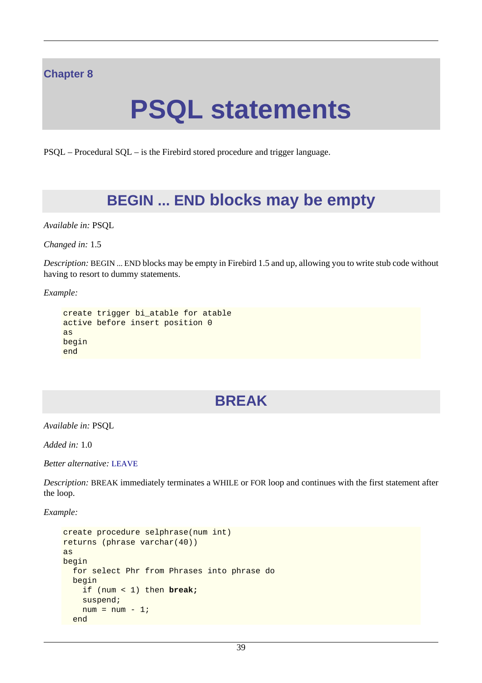#### **Chapter 8**

# **PSQL statements**

PSQL – Procedural SQL – is the Firebird stored procedure and trigger language.

# **BEGIN ... END blocks may be empty**

*Available in:* PSQL

*Changed in:* 1.5

*Description:* BEGIN ... END blocks may be empty in Firebird 1.5 and up, allowing you to write stub code without having to resort to dummy statements.

*Example:*

```
create trigger bi_atable for atable
active before insert position 0
as
begin
end
```
# **BREAK**

*Available in:* PSQL

*Added in:* 1.0

*Better alternative:* [LEAVE](#page-53-0)

*Description:* BREAK immediately terminates a WHILE or FOR loop and continues with the first statement after the loop.

*Example:*

```
create procedure selphrase(num int)
returns (phrase varchar(40))
as
begin
   for select Phr from Phrases into phrase do
  begin
     if (num < 1) then break;
     suspend;
    num = num - 1;
   end
```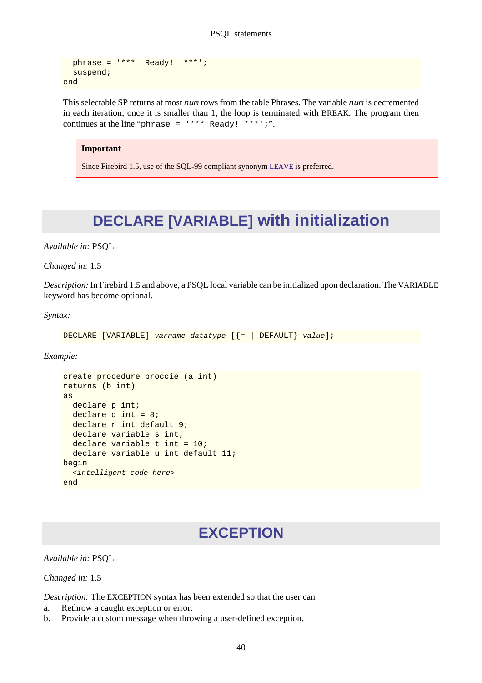```
 phrase = '*** Ready! ***';
   suspend;
end
```
This selectable SP returns at most num rows from the table Phrases. The variable num is decremented in each iteration; once it is smaller than 1, the loop is terminated with BREAK. The program then continues at the line "phrase =  $***$  Ready! \*\*\*';".

#### **Important**

Since Firebird 1.5, use of the SQL-99 compliant synonym [LEAVE](#page-53-0) is preferred.

# **DECLARE [VARIABLE] with initialization**

*Available in:* PSQL

*Changed in:* 1.5

*Description:* In Firebird 1.5 and above, a PSQL local variable can be initialized upon declaration. The VARIABLE keyword has become optional.

*Syntax:*

```
DECLARE [VARIABLE] varname datatype [{= | DEFAULT} value];
```
*Example:*

```
create procedure proccie (a int)
returns (b int)
as
  declare p int;
  declare q int = 8;
  declare r int default 9;
   declare variable s int;
  declare variable t int = 10;
   declare variable u int default 11;
begin
   <intelligent code here>
end
```
## **EXCEPTION**

*Available in:* PSQL

*Changed in:* 1.5

*Description:* The EXCEPTION syntax has been extended so that the user can

- a. Rethrow a caught exception or error.
- b. Provide a custom message when throwing a user-defined exception.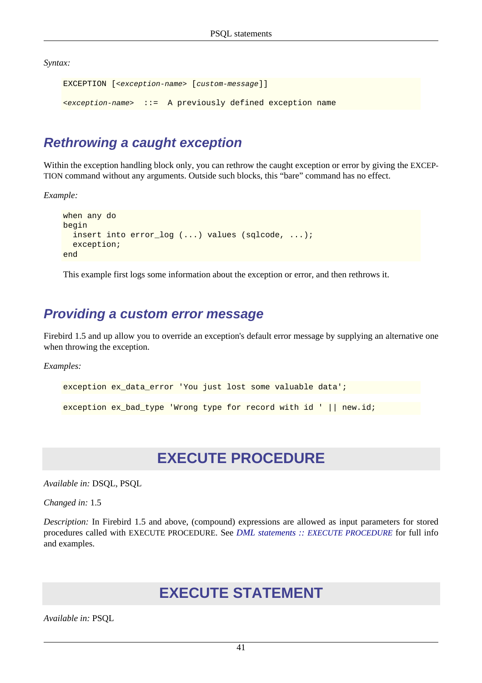*Syntax:*

```
EXCEPTION [<exception-name> [custom-message]]
<exception-name> ::= A previously defined exception name
```
## **Rethrowing a caught exception**

Within the exception handling block only, you can rethrow the caught exception or error by giving the EXCEP-TION command without any arguments. Outside such blocks, this "bare" command has no effect.

*Example:*

```
when any do
begin
   insert into error_log (...) values (sqlcode, ...);
   exception;
end
```
This example first logs some information about the exception or error, and then rethrows it.

## **Providing a custom error message**

Firebird 1.5 and up allow you to override an exception's default error message by supplying an alternative one when throwing the exception.

*Examples:*

```
exception ex_data_error 'You just lost some valuable data';
exception ex_bad_type 'Wrong type for record with id ' || new.id;
```
# **EXECUTE PROCEDURE**

*Available in:* DSQL, PSQL

*Changed in:* 1.5

*Description:* In Firebird 1.5 and above, (compound) expressions are allowed as input parameters for stored procedures called with EXECUTE PROCEDURE. See *DML statements :: [EXECUTE PROCEDURE](#page-33-0)* for full info and examples.

## **EXECUTE STATEMENT**

*Available in:* PSQL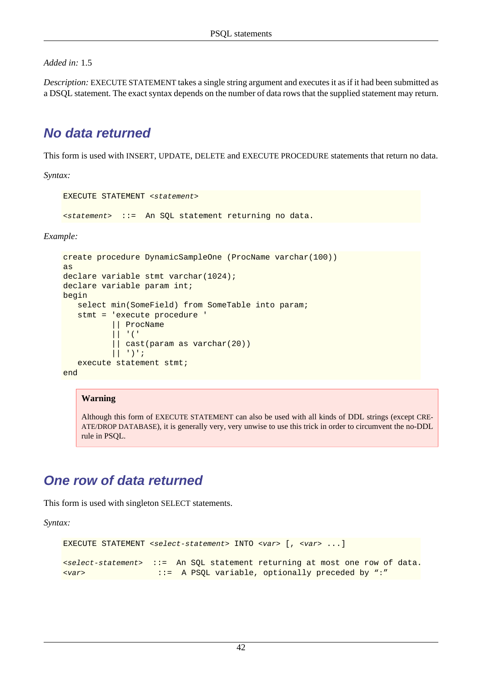*Added in:* 1.5

*Description:* EXECUTE STATEMENT takes a single string argument and executes it as if it had been submitted as a DSQL statement. The exact syntax depends on the number of data rows that the supplied statement may return.

## **No data returned**

This form is used with INSERT, UPDATE, DELETE and EXECUTE PROCEDURE statements that return no data.

*Syntax:*

```
EXECUTE STATEMENT <statement>
```
<statement> ::= An SQL statement returning no data.

*Example:*

```
create procedure DynamicSampleOne (ProcName varchar(100))
as
declare variable stmt varchar(1024);
declare variable param int;
begin
   select min(SomeField) from SomeTable into param;
    stmt = 'execute procedure ' 
            || ProcName 
            || '(' 
            || cast(param as varchar(20)) 
           | | | | | | | | | execute statement stmt;
end
```
#### **Warning**

Although this form of EXECUTE STATEMENT can also be used with all kinds of DDL strings (except CRE-ATE/DROP DATABASE), it is generally very, very unwise to use this trick in order to circumvent the no-DDL rule in PSQL.

## **One row of data returned**

This form is used with singleton SELECT statements.

*Syntax:*

```
EXECUTE STATEMENT <select-statement> INTO <var> [, <var> ...]
<select-statement> ::= An SQL statement returning at most one row of data.
<var> ::= A PSQL variable, optionally preceded by ":"
```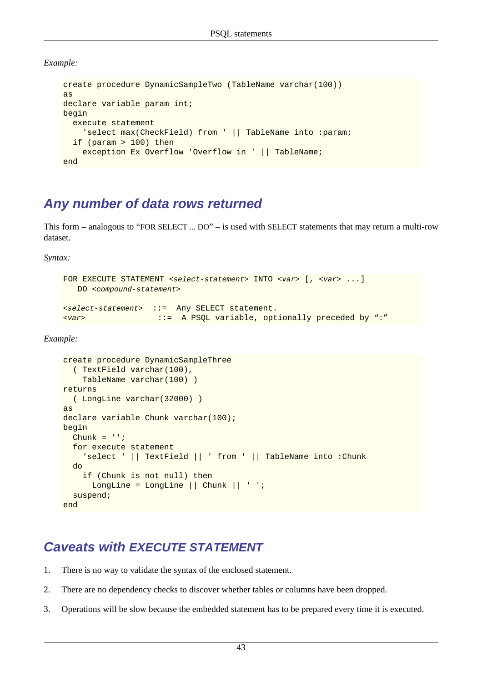*Example:*

```
create procedure DynamicSampleTwo (TableName varchar(100))
as
declare variable param int;
begin
   execute statement
     'select max(CheckField) from ' || TableName into :param;
   if (param > 100) then
     exception Ex_Overflow 'Overflow in ' || TableName;
end
```
## <span id="page-50-0"></span>**Any number of data rows returned**

This form – analogous to "FOR SELECT ... DO" – is used with SELECT statements that may return a multi-row dataset.

*Syntax:*

```
FOR EXECUTE STATEMENT <select-statement> INTO <var> [, <var> ...]
   DO <compound-statement>
<select-statement> ::= Any SELECT statement.
<var> ::= A PSQL variable, optionally preceded by ":"
```
*Example:*

```
create procedure DynamicSampleThree 
   ( TextField varchar(100),
     TableName varchar(100) )
returns 
   ( LongLine varchar(32000) )
as
declare variable Chunk varchar(100);
begin
  Chunk = '': for execute statement
     'select ' || TextField || ' from ' || TableName into :Chunk
   do
     if (Chunk is not null) then
      LongLine = LongLine || Chunk || ' ';
   suspend;
end
```
## **Caveats with EXECUTE STATEMENT**

- 1. There is no way to validate the syntax of the enclosed statement.
- 2. There are no dependency checks to discover whether tables or columns have been dropped.
- 3. Operations will be slow because the embedded statement has to be prepared every time it is executed.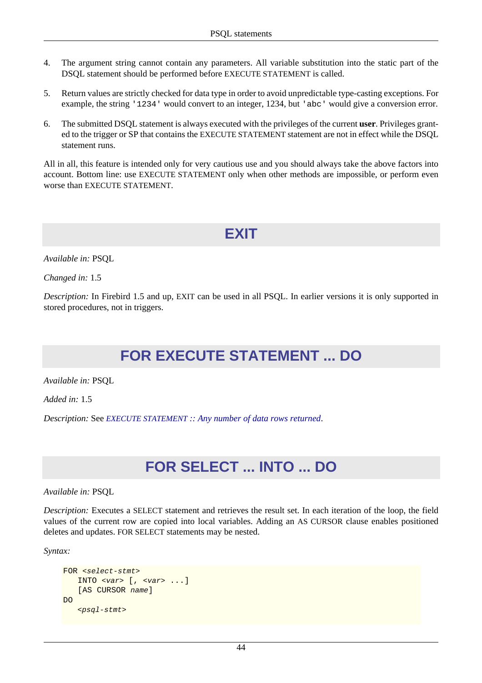- 4. The argument string cannot contain any parameters. All variable substitution into the static part of the DSQL statement should be performed before EXECUTE STATEMENT is called.
- 5. Return values are strictly checked for data type in order to avoid unpredictable type-casting exceptions. For example, the string '1234' would convert to an integer, 1234, but 'abc' would give a conversion error.
- 6. The submitted DSQL statement is always executed with the privileges of the current **user**. Privileges granted to the trigger or SP that contains the EXECUTE STATEMENT statement are not in effect while the DSQL statement runs.

All in all, this feature is intended only for very cautious use and you should always take the above factors into account. Bottom line: use EXECUTE STATEMENT only when other methods are impossible, or perform even worse than EXECUTE STATEMENT.

**EXIT**

*Available in:* PSQL

*Changed in:* 1.5

*Description:* In Firebird 1.5 and up, EXIT can be used in all PSQL. In earlier versions it is only supported in stored procedures, not in triggers.

# **FOR EXECUTE STATEMENT ... DO**

*Available in:* PSQL

*Added in:* 1.5

*Description:* See *EXECUTE STATEMENT [:: Any number of data rows returned](#page-50-0)*.

# **FOR SELECT ... INTO ... DO**

*Available in:* PSQL

*Description:* Executes a SELECT statement and retrieves the result set. In each iteration of the loop, the field values of the current row are copied into local variables. Adding an AS CURSOR clause enables positioned deletes and updates. FOR SELECT statements may be nested.

*Syntax:*

```
FOR <select-stmt>
    INTO \langle var \rangle [, \langle var \rangle ...]
     [AS CURSOR name]
DO
     <psql-stmt>
```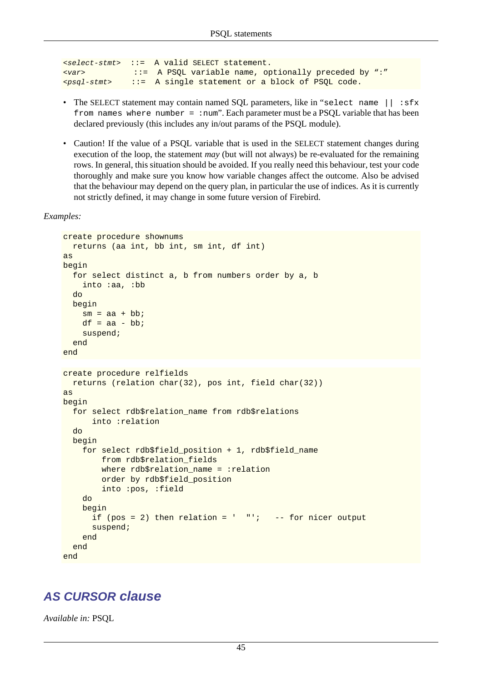```
<select-stmt> ::= A valid SELECT statement.
<var> ::= A PSQL variable name, optionally preceded by ":"
<psql-stmt> ::= A single statement or a block of PSQL code.
```
- The SELECT statement may contain named SQL parameters, like in "select name  $||$ : sfx from names where number = : num". Each parameter must be a PSOL variable that has been declared previously (this includes any in/out params of the PSQL module).
- Caution! If the value of a PSQL variable that is used in the SELECT statement changes during execution of the loop, the statement *may* (but will not always) be re-evaluated for the remaining rows. In general, this situation should be avoided. If you really need this behaviour, test your code thoroughly and make sure you know how variable changes affect the outcome. Also be advised that the behaviour may depend on the query plan, in particular the use of indices. As it is currently not strictly defined, it may change in some future version of Firebird.

```
Examples:
```

```
create procedure shownums
   returns (aa int, bb int, sm int, df int)
as
begin
   for select distinct a, b from numbers order by a, b
     into :aa, :bb
   do
   begin
    sm = aa + bb;
    df = aa - bb suspend;
   end
end
create procedure relfields
   returns (relation char(32), pos int, field char(32))
as
begin
   for select rdb$relation_name from rdb$relations
       into :relation
   do
   begin
    for select rdb$field position + 1, rdb$field name
         from rdb$relation_fields
        where rdb$relation name = :relation
         order by rdb$field_position
         into :pos, :field
     do
     begin
      if (pos = 2) then relation = ' "'; -- for nicer output
       suspend;
     end
   end
end
```
#### **AS CURSOR clause**

*Available in:* PSQL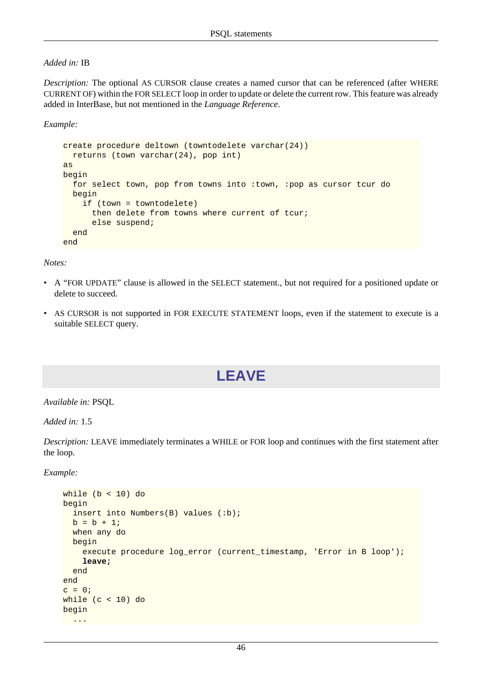#### *Added in:* IB

*Description:* The optional AS CURSOR clause creates a named cursor that can be referenced (after WHERE CURRENT OF) within the FOR SELECT loop in order to update or delete the current row. This feature was already added in InterBase, but not mentioned in the *Language Reference*.

*Example:*

```
create procedure deltown (towntodelete varchar(24))
  returns (town varchar(24), pop int)
as
begin
  for select town, pop from towns into :town, :pop as cursor tcur do
   begin
     if (town = towntodelete)
       then delete from towns where current of tcur;
       else suspend;
   end
end
```
*Notes:*

- A "FOR UPDATE" clause is allowed in the SELECT statement., but not required for a positioned update or delete to succeed.
- <span id="page-53-0"></span>• AS CURSOR is not supported in FOR EXECUTE STATEMENT loops, even if the statement to execute is a suitable SELECT query.

# **LEAVE**

*Available in:* PSQL

*Added in:* 1.5

*Description:* LEAVE immediately terminates a WHILE or FOR loop and continues with the first statement after the loop.

*Example:*

```
while (b < 10) do
begin
   insert into Numbers(B) values (:b);
  b = b + 1; when any do
   begin
     execute procedure log_error (current_timestamp, 'Error in B loop');
     leave;
   end
end
c = 0;while (c < 10) do
begin
 ...
```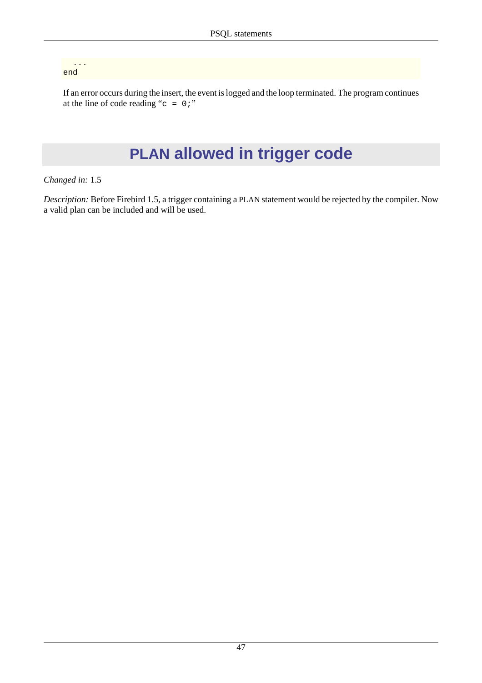... end

If an error occurs during the insert, the event is logged and the loop terminated. The program continues at the line of code reading " $c = 0$ ;"

# **PLAN allowed in trigger code**

#### *Changed in:* 1.5

*Description:* Before Firebird 1.5, a trigger containing a PLAN statement would be rejected by the compiler. Now a valid plan can be included and will be used.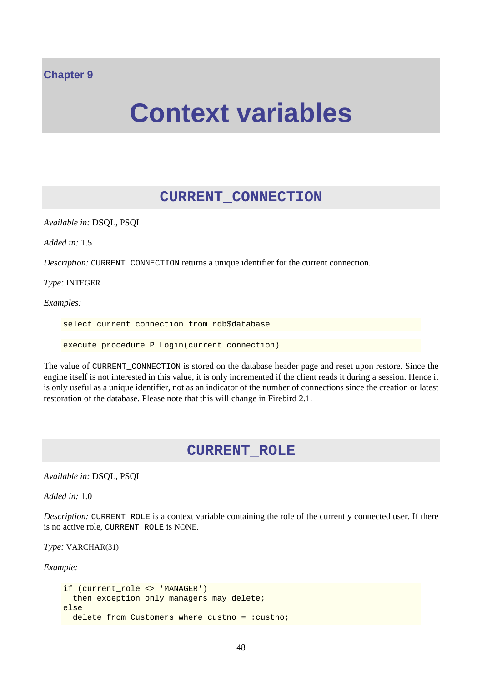#### **Chapter 9**

# **Context variables**

### **CURRENT\_CONNECTION**

*Available in:* DSQL, PSQL

*Added in:* 1.5

*Description:* CURRENT\_CONNECTION returns a unique identifier for the current connection.

*Type:* INTEGER

*Examples:*

select current connection from rdb\$database

execute procedure P\_Login(current\_connection)

The value of CURRENT\_CONNECTION is stored on the database header page and reset upon restore. Since the engine itself is not interested in this value, it is only incremented if the client reads it during a session. Hence it is only useful as a unique identifier, not as an indicator of the number of connections since the creation or latest restoration of the database. Please note that this will change in Firebird 2.1.

#### **CURRENT\_ROLE**

*Available in:* DSQL, PSQL

*Added in:* 1.0

*Description:* CURRENT\_ROLE is a context variable containing the role of the currently connected user. If there is no active role, CURRENT\_ROLE is NONE.

*Type:* VARCHAR(31)

*Example:*

```
if (current_role <> 'MANAGER')
  then exception only_managers_may_delete;
else
 delete from Customers where custno = : custno;
```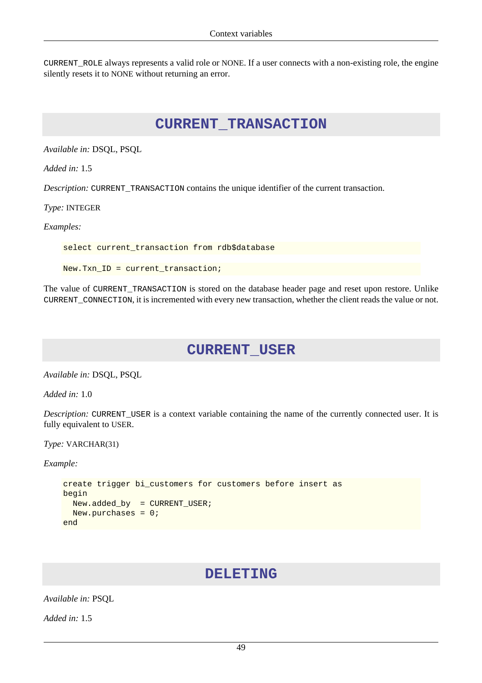CURRENT\_ROLE always represents a valid role or NONE. If a user connects with a non-existing role, the engine silently resets it to NONE without returning an error.

#### **CURRENT\_TRANSACTION**

*Available in:* DSQL, PSQL

*Added in:* 1.5

*Description:* CURRENT\_TRANSACTION contains the unique identifier of the current transaction.

*Type:* INTEGER

*Examples:*

select current\_transaction from rdb\$database

New.Txn\_ID = current\_transaction;

The value of CURRENT\_TRANSACTION is stored on the database header page and reset upon restore. Unlike CURRENT\_CONNECTION, it is incremented with every new transaction, whether the client reads the value or not.

#### **CURRENT\_USER**

*Available in:* DSQL, PSQL

*Added in:* 1.0

*Description:* CURRENT\_USER is a context variable containing the name of the currently connected user. It is fully equivalent to USER.

*Type:* VARCHAR(31)

*Example:*

```
create trigger bi_customers for customers before insert as
begin
  New.added_by = CURRENT_USER;
  New.purchases = 0;
end
```
#### **DELETING**

*Available in:* PSQL

*Added in:* 1.5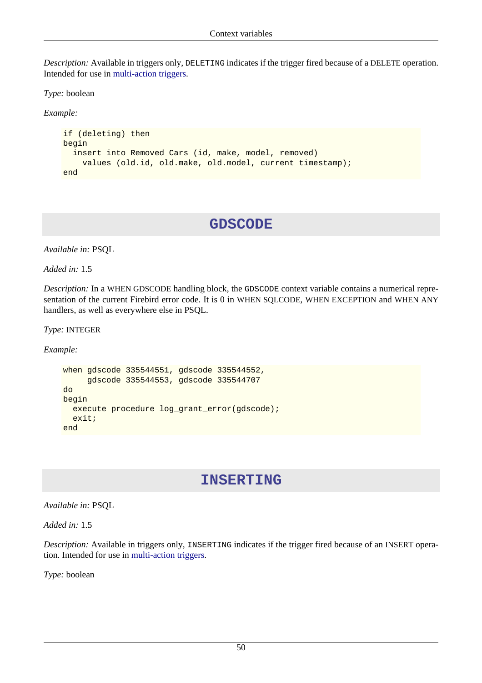*Description:* Available in triggers only, DELETING indicates if the trigger fired because of a DELETE operation. Intended for use in [multi-action triggers.](#page-28-0)

*Type:* boolean

*Example:*

```
if (deleting) then
begin
   insert into Removed_Cars (id, make, model, removed)
     values (old.id, old.make, old.model, current_timestamp);
end
```
### **GDSCODE**

*Available in:* PSQL

*Added in:* 1.5

*Description:* In a WHEN GDSCODE handling block, the GDSCODE context variable contains a numerical representation of the current Firebird error code. It is 0 in WHEN SQLCODE, WHEN EXCEPTION and WHEN ANY handlers, as well as everywhere else in PSQL.

*Type:* INTEGER

*Example:*

```
when gdscode 335544551, gdscode 335544552,
      gdscode 335544553, gdscode 335544707
do
begin
   execute procedure log_grant_error(gdscode);
   exit;
end
```
### **INSERTING**

*Available in:* PSQL

*Added in:* 1.5

*Description:* Available in triggers only, INSERTING indicates if the trigger fired because of an INSERT operation. Intended for use in [multi-action triggers](#page-28-0).

*Type:* boolean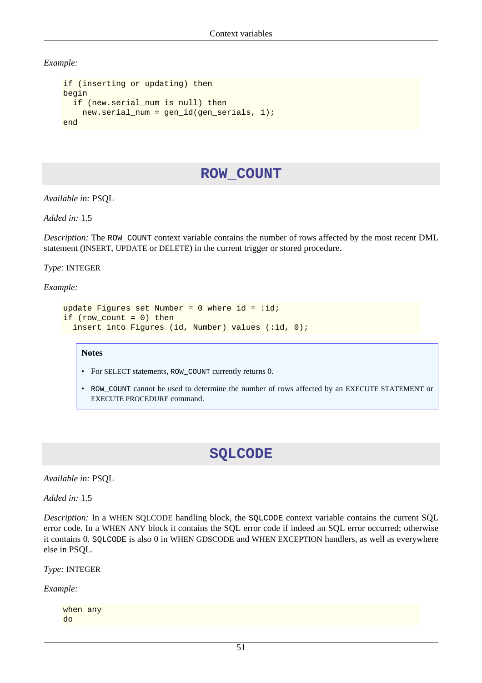*Example:*

```
if (inserting or updating) then
begin
   if (new.serial_num is null) then
    new.serial num = gen id(gen serials, 1);
end
```
## **ROW\_COUNT**

*Available in:* PSQL

*Added in:* 1.5

*Description:* The ROW\_COUNT context variable contains the number of rows affected by the most recent DML statement (INSERT, UPDATE or DELETE) in the current trigger or stored procedure.

*Type:* INTEGER

*Example:*

```
update Figures set Number = 0 where id = :id;if (row_count = 0) then
 insert into Figures (id, Number) values (:id, 0);
```
#### **Notes**

- For SELECT statements, ROW\_COUNT currently returns 0.
- ROW\_COUNT cannot be used to determine the number of rows affected by an EXECUTE STATEMENT or EXECUTE PROCEDURE command.

### **SQLCODE**

*Available in:* PSQL

*Added in:* 1.5

*Description:* In a WHEN SQLCODE handling block, the SQLCODE context variable contains the current SQL error code. In a WHEN ANY block it contains the SQL error code if indeed an SQL error occurred; otherwise it contains 0. SQLCODE is also 0 in WHEN GDSCODE and WHEN EXCEPTION handlers, as well as everywhere else in PSQL.

*Type:* INTEGER

*Example:*

when any do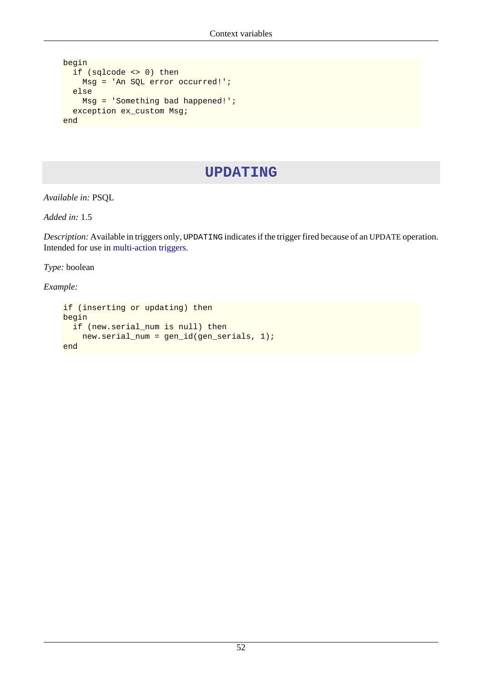```
begin
   if (sqlcode <> 0) then
    Msg = 'An SQL error occurred!';
   else
    Msg = 'Something bad happened!';
   exception ex_custom Msg;
end
```
## **UPDATING**

*Available in:* PSQL

*Added in:* 1.5

*Description:* Available in triggers only, UPDATING indicates if the trigger fired because of an UPDATE operation. Intended for use in [multi-action triggers.](#page-28-0)

*Type:* boolean

*Example:*

```
if (inserting or updating) then
begin
   if (new.serial_num is null) then
    new.serial_num = gen_id(gen_serials, 1);
end
```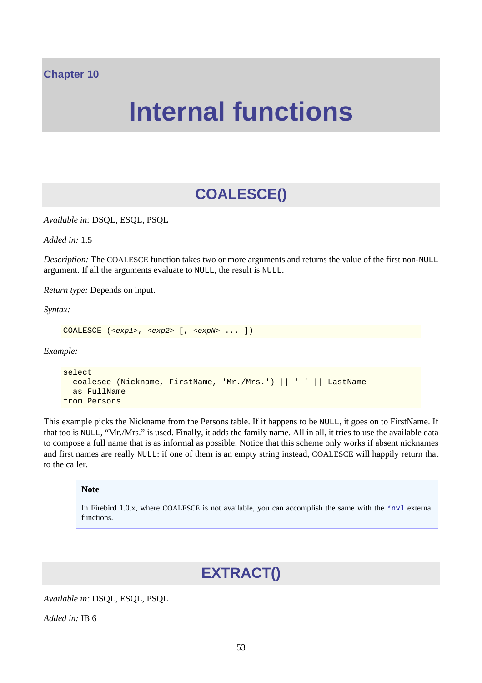#### **Chapter 10**

# **Internal functions**

# **COALESCE()**

<span id="page-60-0"></span>*Available in:* DSQL, ESQL, PSQL

*Added in:* 1.5

*Description:* The COALESCE function takes two or more arguments and returns the value of the first non-NULL argument. If all the arguments evaluate to NULL, the result is NULL.

*Return type:* Depends on input.

*Syntax:*

```
COALESCE (<exp1>, <exp2> [, <expN> ... ])
```
*Example:*

```
select 
   coalesce (Nickname, FirstName, 'Mr./Mrs.') || ' ' || LastName
   as FullName
from Persons
```
This example picks the Nickname from the Persons table. If it happens to be NULL, it goes on to FirstName. If that too is NULL, "Mr./Mrs." is used. Finally, it adds the family name. All in all, it tries to use the available data to compose a full name that is as informal as possible. Notice that this scheme only works if absent nicknames and first names are really NULL: if one of them is an empty string instead, COALESCE will happily return that to the caller.

#### **Note**

In Firebird 1.0.x, where COALESCE is not available, you can accomplish the same with the  $*_{\text{nv1}}$  external functions.

# **EXTRACT()**

*Available in:* DSQL, ESQL, PSQL

*Added in:* IB 6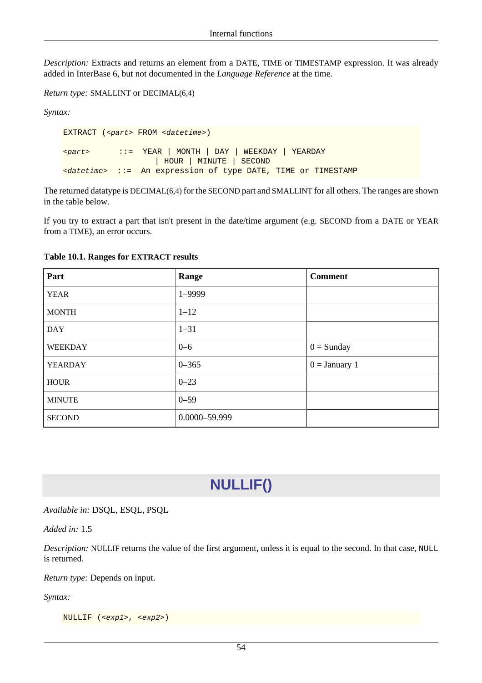*Description:* Extracts and returns an element from a DATE, TIME or TIMESTAMP expression. It was already added in InterBase 6, but not documented in the *Language Reference* at the time.

```
Return type: SMALLINT or DECIMAL(6,4)
```
*Syntax:*

```
EXTRACT (<part> FROM <datetime>)
<part> ::= YEAR | MONTH | DAY | WEEKDAY | YEARDAY
                    | HOUR | MINUTE | SECOND
<datetime> ::= An expression of type DATE, TIME or TIMESTAMP
```
The returned datatype is DECIMAL(6,4) for the SECOND part and SMALLINT for all others. The ranges are shown in the table below.

If you try to extract a part that isn't present in the date/time argument (e.g. SECOND from a DATE or YEAR from a TIME), an error occurs.

| Part           | Range         | <b>Comment</b>  |
|----------------|---------------|-----------------|
| <b>YEAR</b>    | 1-9999        |                 |
| <b>MONTH</b>   | $1 - 12$      |                 |
| <b>DAY</b>     | $1 - 31$      |                 |
| <b>WEEKDAY</b> | $0 - 6$       | $0 =$ Sunday    |
| <b>YEARDAY</b> | $0 - 365$     | $0 =$ January 1 |
| <b>HOUR</b>    | $0 - 23$      |                 |
| <b>MINUTE</b>  | $0 - 59$      |                 |
| <b>SECOND</b>  | 0.0000-59.999 |                 |

#### **Table 10.1. Ranges for EXTRACT results**

## **NULLIF()**

<span id="page-61-0"></span>*Available in:* DSQL, ESQL, PSQL

*Added in:* 1.5

*Description:* NULLIF returns the value of the first argument, unless it is equal to the second. In that case, NULL is returned.

*Return type:* Depends on input.

*Syntax:*

NULLIF (<exp1>, <exp2>)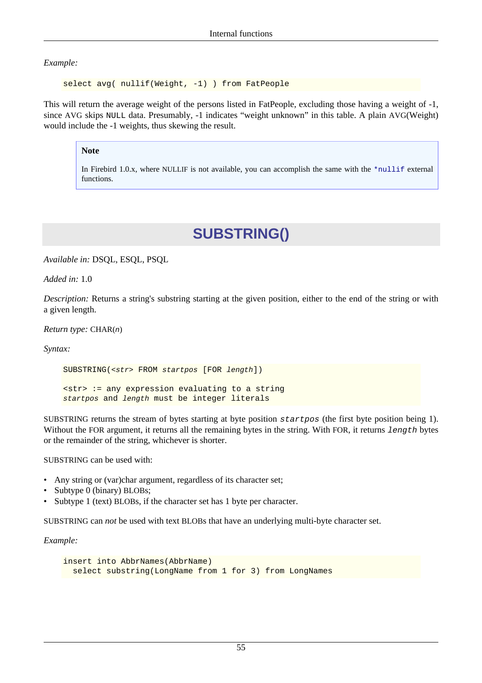*Example:*

select avg( nullif(Weight, -1) ) from FatPeople

This will return the average weight of the persons listed in FatPeople, excluding those having a weight of -1, since AVG skips NULL data. Presumably, -1 indicates "weight unknown" in this table. A plain AVG(Weight) would include the -1 weights, thus skewing the result.

#### **Note**

In Firebird 1.0.x, where NULLIF is not available, you can accomplish the same with the  $*$ nullif external functions.

# **SUBSTRING()**

*Available in:* DSQL, ESQL, PSQL

*Added in:* 1.0

*Description:* Returns a string's substring starting at the given position, either to the end of the string or with a given length.

*Return type:* CHAR(n)

*Syntax:*

SUBSTRING(<str> FROM startpos [FOR length]) <str> := any expression evaluating to a string startpos and length must be integer literals

SUBSTRING returns the stream of bytes starting at byte position startpos (the first byte position being 1). Without the FOR argument, it returns all the remaining bytes in the string. With FOR, it returns length bytes or the remainder of the string, whichever is shorter.

SUBSTRING can be used with:

- Any string or (var)char argument, regardless of its character set;
- Subtype 0 (binary) BLOBs;
- Subtype 1 (text) BLOBs, if the character set has 1 byte per character.

SUBSTRING can *not* be used with text BLOBs that have an underlying multi-byte character set.

*Example:*

```
insert into AbbrNames(AbbrName)
  select substring(LongName from 1 for 3) from LongNames
```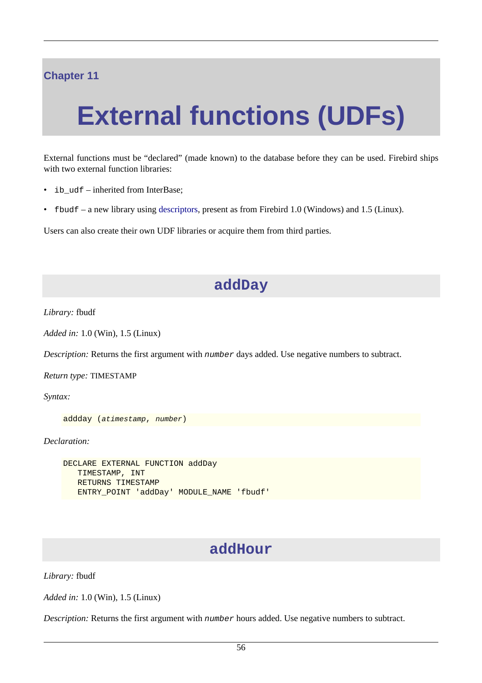## **Chapter 11**

# **External functions (UDFs)**

External functions must be "declared" (made known) to the database before they can be used. Firebird ships with two external function libraries:

- ib\_udf inherited from InterBase;
- fbudf a new library using [descriptors](#page-30-0), present as from Firebird 1.0 (Windows) and 1.5 (Linux).

Users can also create their own UDF libraries or acquire them from third parties.

## **addDay**

*Library:* fbudf

*Added in:* 1.0 (Win), 1.5 (Linux)

*Description:* Returns the first argument with number days added. Use negative numbers to subtract.

*Return type:* TIMESTAMP

*Syntax:*

```
addday (atimestamp, number)
```
*Declaration:*

```
DECLARE EXTERNAL FUNCTION addDay
    TIMESTAMP, INT
    RETURNS TIMESTAMP
    ENTRY_POINT 'addDay' MODULE_NAME 'fbudf'
```
### **addHour**

*Library:* fbudf

*Added in:* 1.0 (Win), 1.5 (Linux)

*Description:* Returns the first argument with number hours added. Use negative numbers to subtract.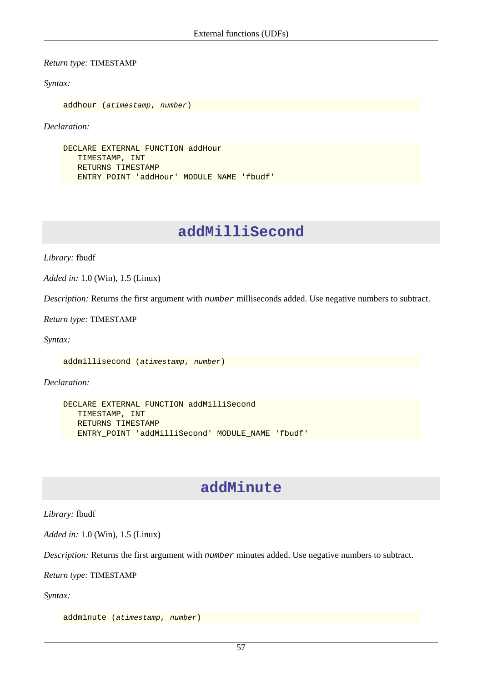*Return type:* TIMESTAMP

*Syntax:*

```
addhour (atimestamp, number)
```
*Declaration:*

```
DECLARE EXTERNAL FUNCTION addHour
    TIMESTAMP, INT
    RETURNS TIMESTAMP
    ENTRY_POINT 'addHour' MODULE_NAME 'fbudf'
```
## **addMilliSecond**

*Library:* fbudf

*Added in:* 1.0 (Win), 1.5 (Linux)

*Description:* Returns the first argument with number milliseconds added. Use negative numbers to subtract.

*Return type:* TIMESTAMP

*Syntax:*

addmillisecond (atimestamp, number)

*Declaration:*

```
DECLARE EXTERNAL FUNCTION addMilliSecond
    TIMESTAMP, INT
    RETURNS TIMESTAMP
    ENTRY_POINT 'addMilliSecond' MODULE_NAME 'fbudf'
```
## **addMinute**

*Library:* fbudf

*Added in:* 1.0 (Win), 1.5 (Linux)

*Description:* Returns the first argument with number minutes added. Use negative numbers to subtract.

*Return type:* TIMESTAMP

*Syntax:*

addminute (atimestamp, number)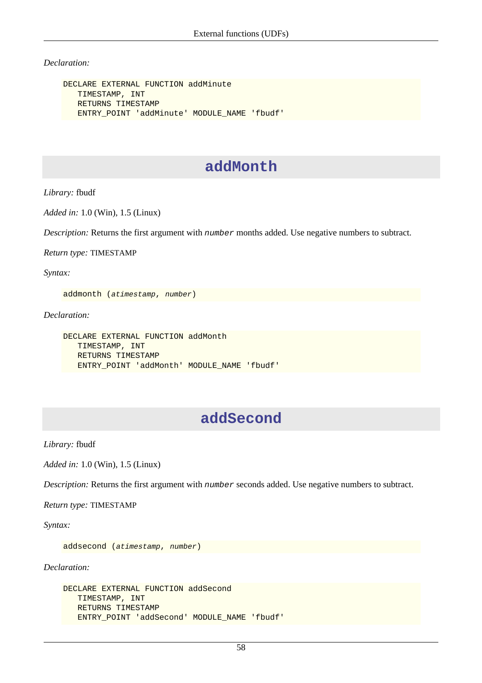*Declaration:*

```
DECLARE EXTERNAL FUNCTION addMinute
    TIMESTAMP, INT
    RETURNS TIMESTAMP
    ENTRY_POINT 'addMinute' MODULE_NAME 'fbudf'
```
## **addMonth**

*Library:* fbudf

*Added in:* 1.0 (Win), 1.5 (Linux)

*Description:* Returns the first argument with number months added. Use negative numbers to subtract.

*Return type:* TIMESTAMP

*Syntax:*

addmonth (atimestamp, number)

*Declaration:*

```
DECLARE EXTERNAL FUNCTION addMonth
    TIMESTAMP, INT
    RETURNS TIMESTAMP
    ENTRY_POINT 'addMonth' MODULE_NAME 'fbudf'
```
## **addSecond**

*Library:* fbudf

*Added in:* 1.0 (Win), 1.5 (Linux)

*Description:* Returns the first argument with number seconds added. Use negative numbers to subtract.

*Return type:* TIMESTAMP

*Syntax:*

addsecond (atimestamp, number)

*Declaration:*

```
DECLARE EXTERNAL FUNCTION addSecond
    TIMESTAMP, INT
    RETURNS TIMESTAMP
    ENTRY_POINT 'addSecond' MODULE_NAME 'fbudf'
```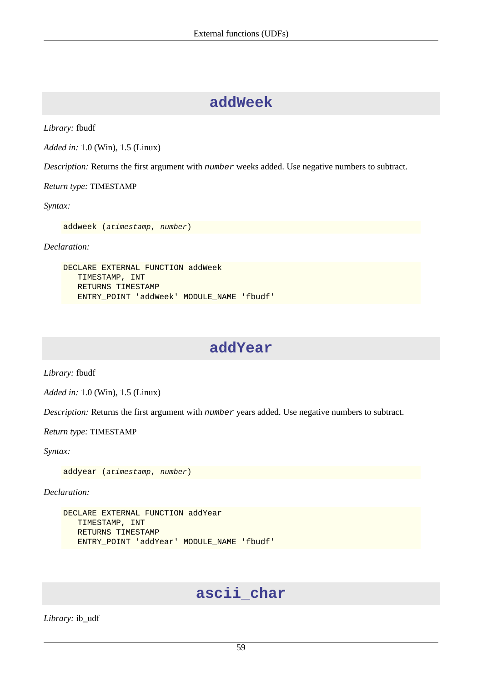## **addWeek**

*Library:* fbudf

*Added in:* 1.0 (Win), 1.5 (Linux)

*Description:* Returns the first argument with number weeks added. Use negative numbers to subtract.

*Return type:* TIMESTAMP

*Syntax:*

addweek (atimestamp, number)

*Declaration:*

```
DECLARE EXTERNAL FUNCTION addWeek
    TIMESTAMP, INT
    RETURNS TIMESTAMP
   ENTRY_POINT 'addWeek' MODULE_NAME 'fbudf'
```
## **addYear**

*Library:* fbudf

*Added in:* 1.0 (Win), 1.5 (Linux)

*Description:* Returns the first argument with number years added. Use negative numbers to subtract.

*Return type:* TIMESTAMP

*Syntax:*

addyear (atimestamp, number)

*Declaration:*

```
DECLARE EXTERNAL FUNCTION addYear
    TIMESTAMP, INT
    RETURNS TIMESTAMP
    ENTRY_POINT 'addYear' MODULE_NAME 'fbudf'
```
## **ascii\_char**

*Library:* ib\_udf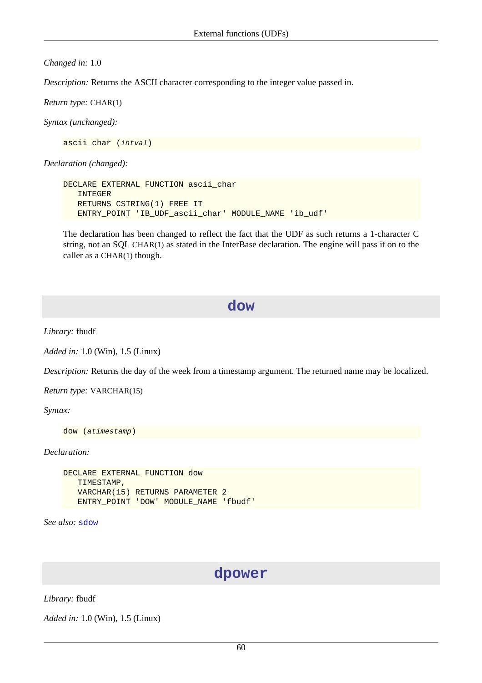#### *Changed in:* 1.0

*Description:* Returns the ASCII character corresponding to the integer value passed in.

*Return type:* CHAR(1)

*Syntax (unchanged):*

ascii char (*intval*)

*Declaration (changed):*

```
DECLARE EXTERNAL FUNCTION ascii_char
    INTEGER
    RETURNS CSTRING(1) FREE_IT
    ENTRY_POINT 'IB_UDF_ascii_char' MODULE_NAME 'ib_udf'
```
The declaration has been changed to reflect the fact that the UDF as such returns a 1-character C string, not an SQL CHAR(1) as stated in the InterBase declaration. The engine will pass it on to the caller as a CHAR(1) though.

#### **dow**

*Library:* fbudf

*Added in:* 1.0 (Win), 1.5 (Linux)

*Description:* Returns the day of the week from a timestamp argument. The returned name may be localized.

*Return type:* VARCHAR(15)

*Syntax:*

```
dow (atimestamp)
```
*Declaration:*

```
DECLARE EXTERNAL FUNCTION dow
    TIMESTAMP,
    VARCHAR(15) RETURNS PARAMETER 2
    ENTRY_POINT 'DOW' MODULE_NAME 'fbudf'
```
*See also:* [sdow](#page-75-0)

### **dpower**

*Library:* fbudf

*Added in:* 1.0 (Win), 1.5 (Linux)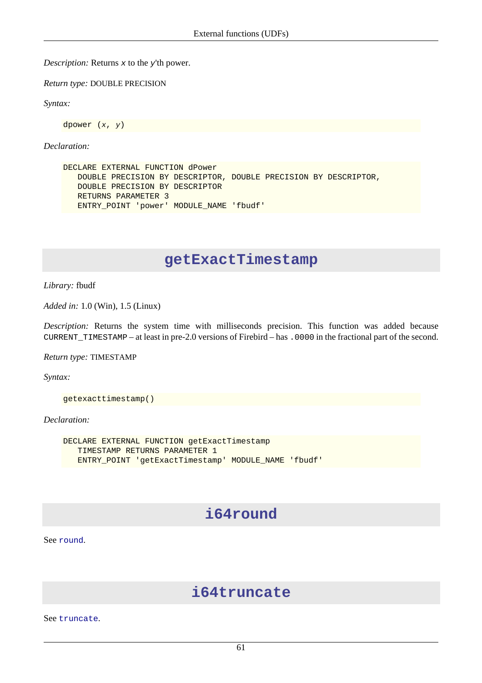*Description:* Returns x to the y'th power.

*Return type:* DOUBLE PRECISION

*Syntax:*

dpower (x, y)

*Declaration:*

```
DECLARE EXTERNAL FUNCTION dPower
    DOUBLE PRECISION BY DESCRIPTOR, DOUBLE PRECISION BY DESCRIPTOR,
    DOUBLE PRECISION BY DESCRIPTOR
    RETURNS PARAMETER 3
    ENTRY_POINT 'power' MODULE_NAME 'fbudf'
```
## **getExactTimestamp**

*Library:* fbudf

*Added in:* 1.0 (Win), 1.5 (Linux)

*Description:* Returns the system time with milliseconds precision. This function was added because CURRENT\_TIMESTAMP – at least in pre-2.0 versions of Firebird – has .0000 in the fractional part of the second.

*Return type:* TIMESTAMP

*Syntax:*

getexacttimestamp()

*Declaration:*

```
DECLARE EXTERNAL FUNCTION getExactTimestamp
    TIMESTAMP RETURNS PARAMETER 1
   ENTRY_POINT 'getExactTimestamp' MODULE_NAME 'fbudf'
```
## **i64round**

See [round](#page-72-0).

## **i64truncate**

See [truncate](#page-78-0).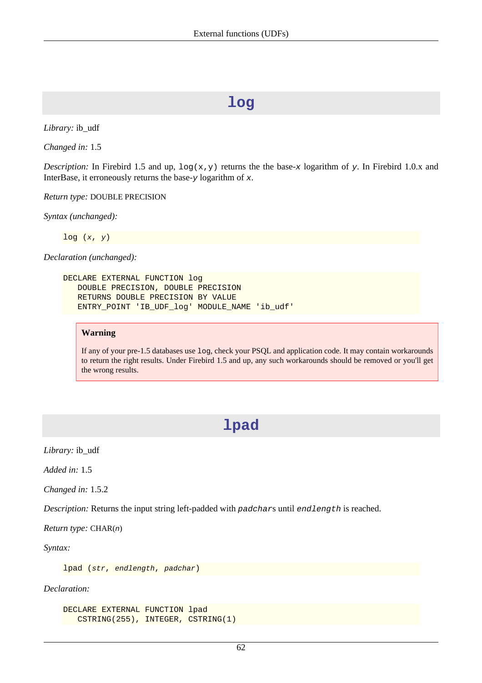## **log**

*Library:* ib\_udf

*Changed in:* 1.5

*Description:* In Firebird 1.5 and up,  $\log(x, y)$  returns the the base-x logarithm of y. In Firebird 1.0.x and InterBase, it erroneously returns the base- $\gamma$  logarithm of  $\mathbf{x}$ .

*Return type:* DOUBLE PRECISION

*Syntax (unchanged):*

 $log(x, y)$ 

*Declaration (unchanged):*

```
DECLARE EXTERNAL FUNCTION log
    DOUBLE PRECISION, DOUBLE PRECISION
    RETURNS DOUBLE PRECISION BY VALUE
    ENTRY_POINT 'IB_UDF_log' MODULE_NAME 'ib_udf'
```
#### **Warning**

If any of your pre-1.5 databases use log, check your PSQL and application code. It may contain workarounds to return the right results. Under Firebird 1.5 and up, any such workarounds should be removed or you'll get the wrong results.

## **lpad**

*Library:* ib\_udf

*Added in:* 1.5

*Changed in:* 1.5.2

*Description:* Returns the input string left-padded with padchars until endlength is reached.

*Return type:* CHAR(n)

*Syntax:*

lpad (str, endlength, padchar)

*Declaration:*

```
DECLARE EXTERNAL FUNCTION lpad
   CSTRING(255), INTEGER, CSTRING(1)
```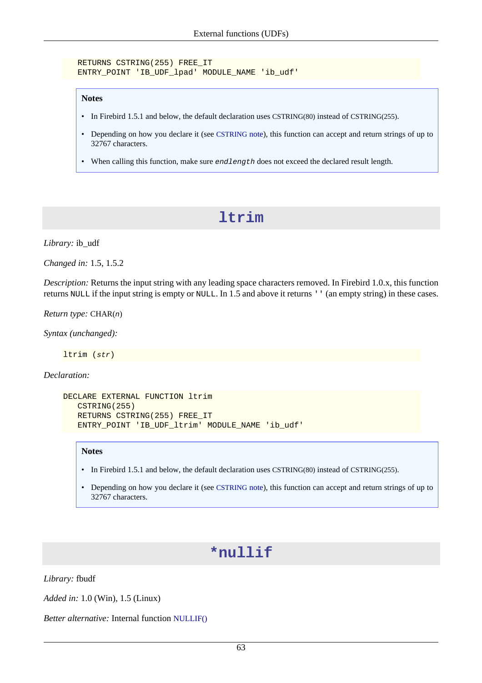```
 RETURNS CSTRING(255) FREE_IT
 ENTRY_POINT 'IB_UDF_lpad' MODULE_NAME 'ib_udf'
```
#### **Notes**

- In Firebird 1.5.1 and below, the default declaration uses CSTRING(80) instead of CSTRING(255).
- Depending on how you declare it (see [CSTRING](#page-84-0) note), this function can accept and return strings of up to 32767 characters.
- When calling this function, make sure *endlength* does not exceed the declared result length.

## **ltrim**

*Library:* ib\_udf

*Changed in:* 1.5, 1.5.2

*Description:* Returns the input string with any leading space characters removed. In Firebird 1.0.x, this function returns NULL if the input string is empty or NULL. In 1.5 and above it returns '' (an empty string) in these cases.

*Return type:* CHAR(n)

*Syntax (unchanged):*

ltrim (str)

*Declaration:*

```
DECLARE EXTERNAL FUNCTION ltrim
    CSTRING(255)
    RETURNS CSTRING(255) FREE_IT
    ENTRY_POINT 'IB_UDF_ltrim' MODULE_NAME 'ib_udf'
```
#### **Notes**

- In Firebird 1.5.1 and below, the default declaration uses CSTRING(80) instead of CSTRING(255).
- <span id="page-70-0"></span>• Depending on how you declare it (see [CSTRING](#page-84-0) note), this function can accept and return strings of up to 32767 characters.

## **\*nullif**

*Library:* fbudf

*Added in:* 1.0 (Win), 1.5 (Linux)

*Better alternative:* Internal function [NULLIF\(\)](#page-61-0)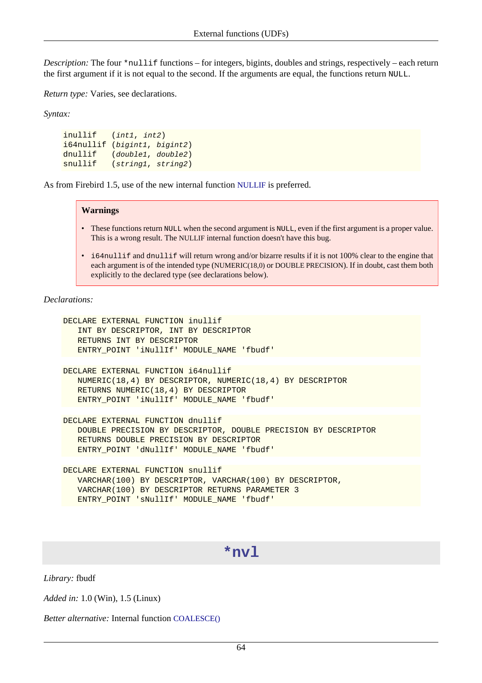*Description:* The four \*nullif functions – for integers, bigints, doubles and strings, respectively – each return the first argument if it is not equal to the second. If the arguments are equal, the functions return NULL.

*Return type:* Varies, see declarations.

*Syntax:*

inullif (int1, int2) i64nullif (bigint1, bigint2) dnullif (double1, double2) snullif (string1, string2)

As from Firebird 1.5, use of the new internal function [NULLIF](#page-61-0) is preferred.

#### **Warnings**

- These functions return NULL when the second argument is NULL, even if the first argument is a proper value. This is a wrong result. The NULLIF internal function doesn't have this bug.
- i64nullif and dnullif will return wrong and/or bizarre results if it is not 100% clear to the engine that each argument is of the intended type (NUMERIC(18,0) or DOUBLE PRECISION). If in doubt, cast them both explicitly to the declared type (see declarations below).

*Declarations:*

```
DECLARE EXTERNAL FUNCTION inullif
    INT BY DESCRIPTOR, INT BY DESCRIPTOR
    RETURNS INT BY DESCRIPTOR
    ENTRY_POINT 'iNullIf' MODULE_NAME 'fbudf'
DECLARE EXTERNAL FUNCTION i64nullif
    NUMERIC(18,4) BY DESCRIPTOR, NUMERIC(18,4) BY DESCRIPTOR
    RETURNS NUMERIC(18,4) BY DESCRIPTOR
    ENTRY_POINT 'iNullIf' MODULE_NAME 'fbudf'
DECLARE EXTERNAL FUNCTION dnullif
    DOUBLE PRECISION BY DESCRIPTOR, DOUBLE PRECISION BY DESCRIPTOR
    RETURNS DOUBLE PRECISION BY DESCRIPTOR
    ENTRY_POINT 'dNullIf' MODULE_NAME 'fbudf'
DECLARE EXTERNAL FUNCTION snullif
    VARCHAR(100) BY DESCRIPTOR, VARCHAR(100) BY DESCRIPTOR,
```
- VARCHAR(100) BY DESCRIPTOR RETURNS PARAMETER 3
- <span id="page-71-0"></span>ENTRY\_POINT 'sNullIf' MODULE\_NAME 'fbudf'

#### **\*nvl**

*Library:* fbudf

*Added in:* 1.0 (Win), 1.5 (Linux)

*Better alternative:* Internal function [COALESCE\(\)](#page-60-0)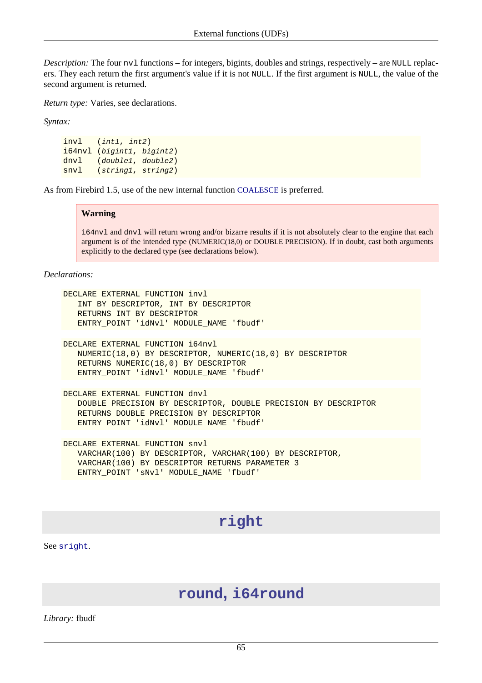*Description:* The four nv1 functions – for integers, bigints, doubles and strings, respectively – are NULL replacers. They each return the first argument's value if it is not NULL. If the first argument is NULL, the value of the second argument is returned.

*Return type:* Varies, see declarations.

*Syntax:*

```
invl (int1, int2)
i64nvl (bigint1, bigint2)
dnvl (double1, double2)
snvl (string1, string2)
```
As from Firebird 1.5, use of the new internal function [COALESCE](#page-60-0) is preferred.

#### **Warning**

i64nvl and dnvl will return wrong and/or bizarre results if it is not absolutely clear to the engine that each argument is of the intended type (NUMERIC(18,0) or DOUBLE PRECISION). If in doubt, cast both arguments explicitly to the declared type (see declarations below).

*Declarations:*

```
DECLARE EXTERNAL FUNCTION invl
    INT BY DESCRIPTOR, INT BY DESCRIPTOR
    RETURNS INT BY DESCRIPTOR
    ENTRY_POINT 'idNvl' MODULE_NAME 'fbudf'
```

```
DECLARE EXTERNAL FUNCTION i64nvl
   NUMERIC(18,0) BY DESCRIPTOR, NUMERIC(18,0) BY DESCRIPTOR
   RETURNS NUMERIC(18,0) BY DESCRIPTOR
   ENTRY_POINT 'idNvl' MODULE_NAME 'fbudf'
```
DECLARE EXTERNAL FUNCTION dnvl DOUBLE PRECISION BY DESCRIPTOR, DOUBLE PRECISION BY DESCRIPTOR RETURNS DOUBLE PRECISION BY DESCRIPTOR ENTRY\_POINT 'idNvl' MODULE\_NAME 'fbudf'

DECLARE EXTERNAL FUNCTION snvl VARCHAR(100) BY DESCRIPTOR, VARCHAR(100) BY DESCRIPTOR, VARCHAR(100) BY DESCRIPTOR RETURNS PARAMETER 3 ENTRY\_POINT 'sNvl' MODULE\_NAME 'fbudf'

# **right**

See [sright](#page-75-0).

### **round, i64round**

*Library:* fbudf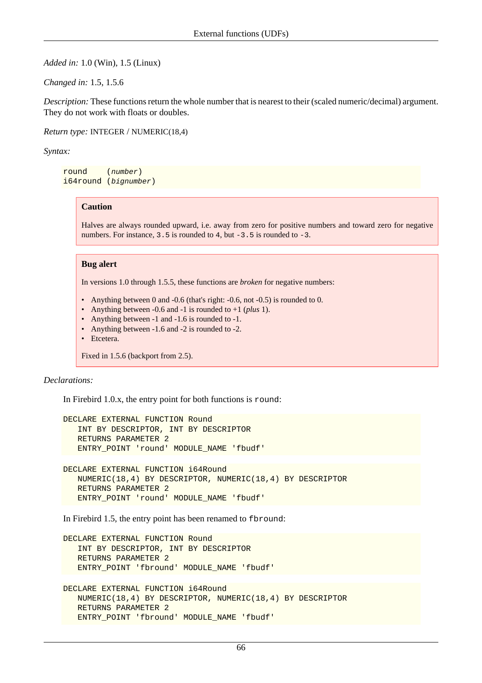*Added in:* 1.0 (Win), 1.5 (Linux)

*Changed in:* 1.5, 1.5.6

*Description:* These functions return the whole number that is nearest to their (scaled numeric/decimal) argument. They do not work with floats or doubles.

*Return type:* INTEGER / NUMERIC(18,4)

*Syntax:*

round (number) i64round (bignumber)

#### **Caution**

Halves are always rounded upward, i.e. away from zero for positive numbers and toward zero for negative numbers. For instance,  $3.5$  is rounded to  $4$ , but  $-3.5$  is rounded to  $-3$ .

#### **Bug alert**

In versions 1.0 through 1.5.5, these functions are *broken* for negative numbers:

- Anything between 0 and -0.6 (that's right: -0.6, not -0.5) is rounded to 0.
- Anything between -0.6 and -1 is rounded to +1 (*plus* 1).
- Anything between -1 and -1.6 is rounded to -1.
- Anything between -1.6 and -2 is rounded to -2.
- Etcetera.

Fixed in 1.5.6 (backport from 2.5).

#### *Declarations:*

In Firebird 1.0.x, the entry point for both functions is round:

```
DECLARE EXTERNAL FUNCTION Round
    INT BY DESCRIPTOR, INT BY DESCRIPTOR
    RETURNS PARAMETER 2
    ENTRY_POINT 'round' MODULE_NAME 'fbudf'
DECLARE EXTERNAL FUNCTION i64Round
    NUMERIC(18,4) BY DESCRIPTOR, NUMERIC(18,4) BY DESCRIPTOR
    RETURNS PARAMETER 2
    ENTRY_POINT 'round' MODULE_NAME 'fbudf'
```
In Firebird 1.5, the entry point has been renamed to fbround:

```
DECLARE EXTERNAL FUNCTION Round
    INT BY DESCRIPTOR, INT BY DESCRIPTOR
    RETURNS PARAMETER 2
    ENTRY_POINT 'fbround' MODULE_NAME 'fbudf'
```

```
DECLARE EXTERNAL FUNCTION i64Round
   NUMERIC(18,4) BY DESCRIPTOR, NUMERIC(18,4) BY DESCRIPTOR
   RETURNS PARAMETER 2
   ENTRY_POINT 'fbround' MODULE_NAME 'fbudf'
```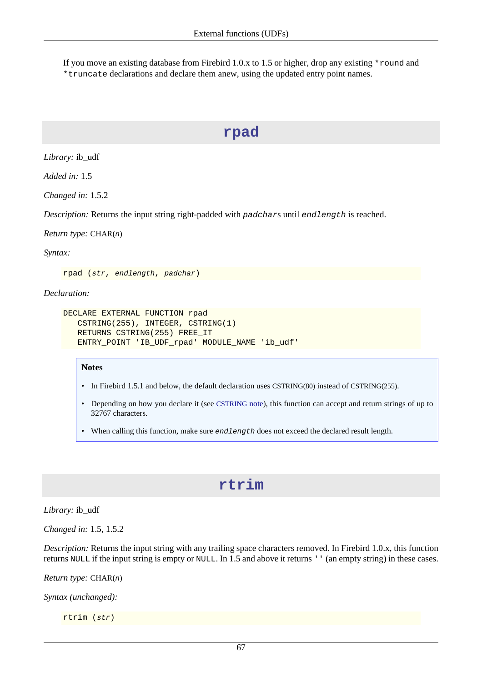If you move an existing database from Firebird 1.0.x to 1.5 or higher, drop any existing \*round and \*truncate declarations and declare them anew, using the updated entry point names.

# **rpad**

*Library:* ib\_udf

*Added in:* 1.5

*Changed in:* 1.5.2

*Description:* Returns the input string right-padded with padchars until endlength is reached.

*Return type:* CHAR(n)

*Syntax:*

rpad (str, endlength, padchar)

*Declaration:*

```
DECLARE EXTERNAL FUNCTION rpad
    CSTRING(255), INTEGER, CSTRING(1)
    RETURNS CSTRING(255) FREE_IT
    ENTRY_POINT 'IB_UDF_rpad' MODULE_NAME 'ib_udf'
```
#### **Notes**

- In Firebird 1.5.1 and below, the default declaration uses CSTRING(80) instead of CSTRING(255).
- Depending on how you declare it (see [CSTRING](#page-84-0) note), this function can accept and return strings of up to 32767 characters.
- When calling this function, make sure endlength does not exceed the declared result length.

## **rtrim**

*Library:* ib\_udf

*Changed in:* 1.5, 1.5.2

*Description:* Returns the input string with any trailing space characters removed. In Firebird 1.0.x, this function returns NULL if the input string is empty or NULL. In 1.5 and above it returns '' (an empty string) in these cases.

*Return type:* CHAR(n)

*Syntax (unchanged):*

rtrim (str)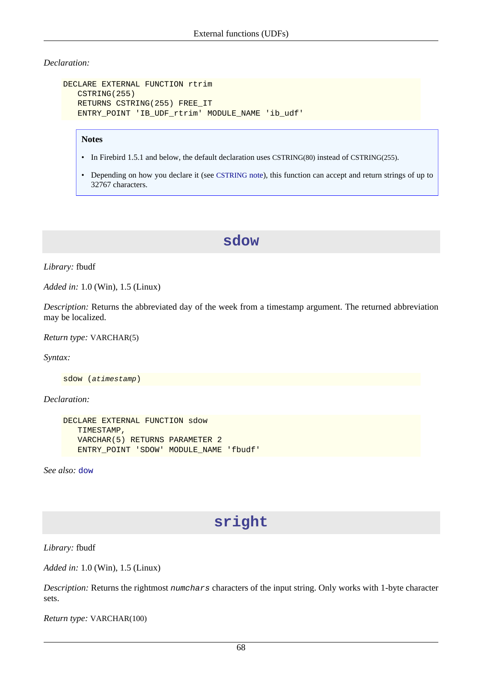#### *Declaration:*

```
DECLARE EXTERNAL FUNCTION rtrim
    CSTRING(255)
    RETURNS CSTRING(255) FREE_IT
    ENTRY_POINT 'IB_UDF_rtrim' MODULE_NAME 'ib_udf'
```
#### **Notes**

- In Firebird 1.5.1 and below, the default declaration uses CSTRING(80) instead of CSTRING(255).
- Depending on how you declare it (see [CSTRING](#page-84-0) note), this function can accept and return strings of up to 32767 characters.

### **sdow**

*Library:* fbudf

*Added in:* 1.0 (Win), 1.5 (Linux)

*Description:* Returns the abbreviated day of the week from a timestamp argument. The returned abbreviation may be localized.

*Return type:* VARCHAR(5)

*Syntax:*

sdow (atimestamp)

*Declaration:*

```
DECLARE EXTERNAL FUNCTION sdow
    TIMESTAMP,
    VARCHAR(5) RETURNS PARAMETER 2
    ENTRY_POINT 'SDOW' MODULE_NAME 'fbudf'
```
<span id="page-75-0"></span>*See also:* [dow](#page-67-0)

# **sright**

*Library:* fbudf

*Added in:* 1.0 (Win), 1.5 (Linux)

*Description:* Returns the rightmost numchars characters of the input string. Only works with 1-byte character sets.

*Return type:* VARCHAR(100)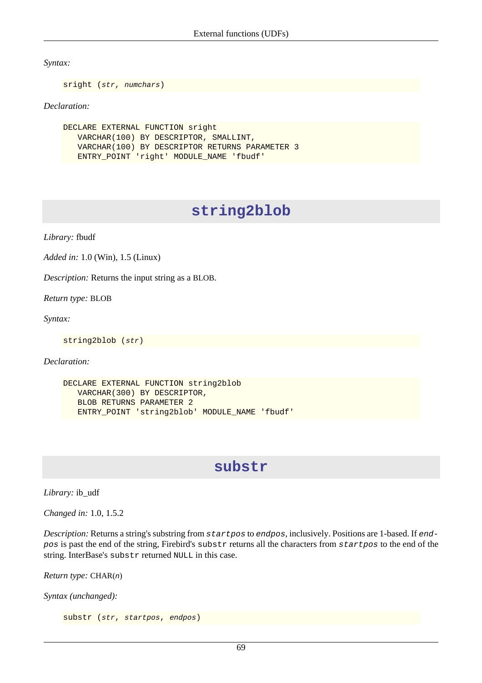*Syntax:*

sright (str, numchars)

#### *Declaration:*

DECLARE EXTERNAL FUNCTION sright VARCHAR(100) BY DESCRIPTOR, SMALLINT, VARCHAR(100) BY DESCRIPTOR RETURNS PARAMETER 3 ENTRY\_POINT 'right' MODULE\_NAME 'fbudf'

# **string2blob**

*Library:* fbudf

*Added in:* 1.0 (Win), 1.5 (Linux)

*Description:* Returns the input string as a BLOB.

*Return type:* BLOB

*Syntax:*

string2blob (str)

*Declaration:*

```
DECLARE EXTERNAL FUNCTION string2blob
    VARCHAR(300) BY DESCRIPTOR,
    BLOB RETURNS PARAMETER 2
    ENTRY_POINT 'string2blob' MODULE_NAME 'fbudf'
```
## **substr**

*Library:* ib\_udf

*Changed in:* 1.0, 1.5.2

*Description:* Returns a string's substring from startpos to endpos, inclusively. Positions are 1-based. If endpos is past the end of the string, Firebird's substr returns all the characters from startpos to the end of the string. InterBase's substr returned NULL in this case.

*Return type:* CHAR(n)

*Syntax (unchanged):*

substr (str, startpos, endpos)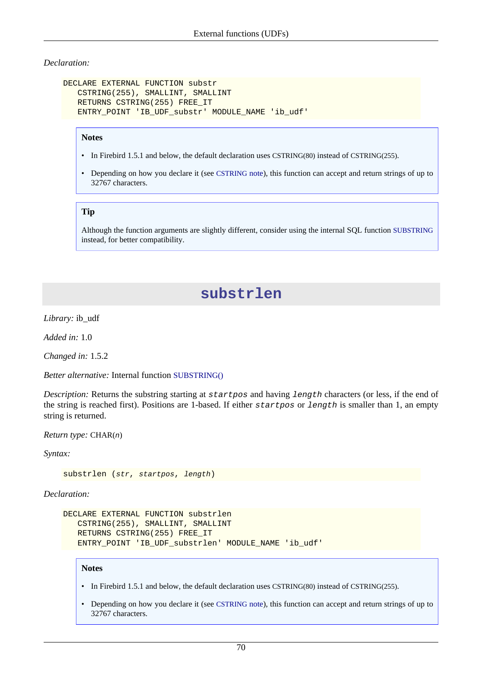#### *Declaration:*

```
DECLARE EXTERNAL FUNCTION substr
    CSTRING(255), SMALLINT, SMALLINT
    RETURNS CSTRING(255) FREE_IT
    ENTRY_POINT 'IB_UDF_substr' MODULE_NAME 'ib_udf'
```
#### **Notes**

- In Firebird 1.5.1 and below, the default declaration uses CSTRING(80) instead of CSTRING(255).
- Depending on how you declare it (see [CSTRING](#page-84-0) note), this function can accept and return strings of up to 32767 characters.

#### **Tip**

Although the function arguments are slightly different, consider using the internal SQL function [SUBSTRING](#page-62-0) instead, for better compatibility.

## **substrlen**

*Library:* ib\_udf

*Added in:* 1.0

*Changed in:* 1.5.2

*Better alternative:* Internal function [SUBSTRING\(\)](#page-62-0)

*Description:* Returns the substring starting at startpos and having length characters (or less, if the end of the string is reached first). Positions are 1-based. If either startpos or length is smaller than 1, an empty string is returned.

*Return type:* CHAR(n)

*Syntax:*

substrlen (str, startpos, length)

*Declaration:*

```
DECLARE EXTERNAL FUNCTION substrlen
    CSTRING(255), SMALLINT, SMALLINT
    RETURNS CSTRING(255) FREE_IT
    ENTRY_POINT 'IB_UDF_substrlen' MODULE_NAME 'ib_udf'
```
#### **Notes**

- In Firebird 1.5.1 and below, the default declaration uses CSTRING(80) instead of CSTRING(255).
- Depending on how you declare it (see [CSTRING](#page-84-0) note), this function can accept and return strings of up to 32767 characters.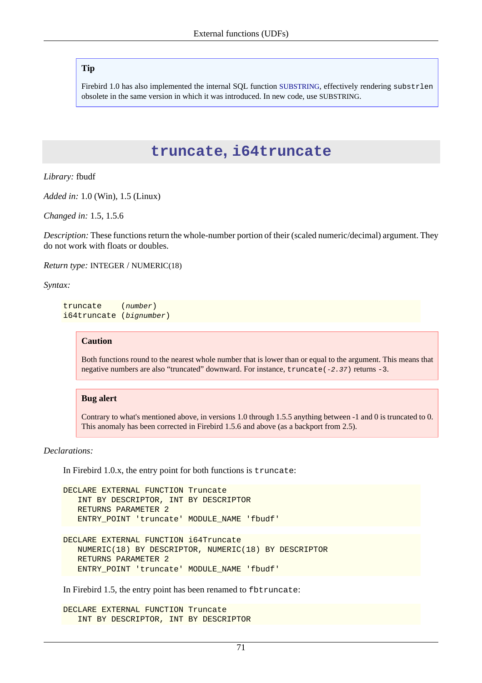#### **Tip**

Firebird 1.0 has also implemented the internal SQL function [SUBSTRING](#page-62-0), effectively rendering substrlen obsolete in the same version in which it was introduced. In new code, use SUBSTRING.

### **truncate, i64truncate**

*Library:* fbudf

*Added in:* 1.0 (Win), 1.5 (Linux)

*Changed in:* 1.5, 1.5.6

*Description:* These functions return the whole-number portion of their (scaled numeric/decimal) argument. They do not work with floats or doubles.

*Return type:* INTEGER / NUMERIC(18)

*Syntax:*

truncate (number) i64truncate (bignumber)

#### **Caution**

Both functions round to the nearest whole number that is lower than or equal to the argument. This means that negative numbers are also "truncated" downward. For instance, truncate(-2.37) returns -3.

#### **Bug alert**

Contrary to what's mentioned above, in versions 1.0 through 1.5.5 anything between -1 and 0 is truncated to 0. This anomaly has been corrected in Firebird 1.5.6 and above (as a backport from 2.5).

#### *Declarations:*

In Firebird 1.0.x, the entry point for both functions is truncate:

```
DECLARE EXTERNAL FUNCTION Truncate
    INT BY DESCRIPTOR, INT BY DESCRIPTOR
    RETURNS PARAMETER 2
    ENTRY_POINT 'truncate' MODULE_NAME 'fbudf'
DECLARE EXTERNAL FUNCTION i64Truncate
```

```
 NUMERIC(18) BY DESCRIPTOR, NUMERIC(18) BY DESCRIPTOR
 RETURNS PARAMETER 2
 ENTRY_POINT 'truncate' MODULE_NAME 'fbudf'
```
In Firebird 1.5, the entry point has been renamed to fbtruncate:

```
DECLARE EXTERNAL FUNCTION Truncate
    INT BY DESCRIPTOR, INT BY DESCRIPTOR
```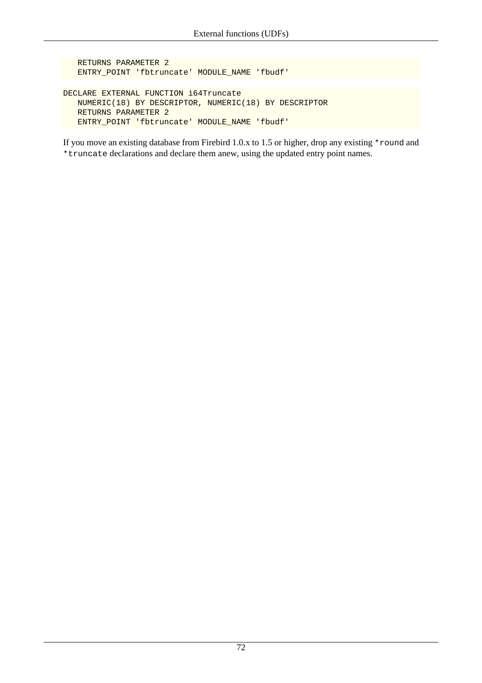RETURNS PARAMETER 2 ENTRY\_POINT 'fbtruncate' MODULE\_NAME 'fbudf' DECLARE EXTERNAL FUNCTION i64Truncate NUMERIC(18) BY DESCRIPTOR, NUMERIC(18) BY DESCRIPTOR RETURNS PARAMETER 2 ENTRY\_POINT 'fbtruncate' MODULE\_NAME 'fbudf'

If you move an existing database from Firebird 1.0.x to 1.5 or higher, drop any existing \*round and \*truncate declarations and declare them anew, using the updated entry point names.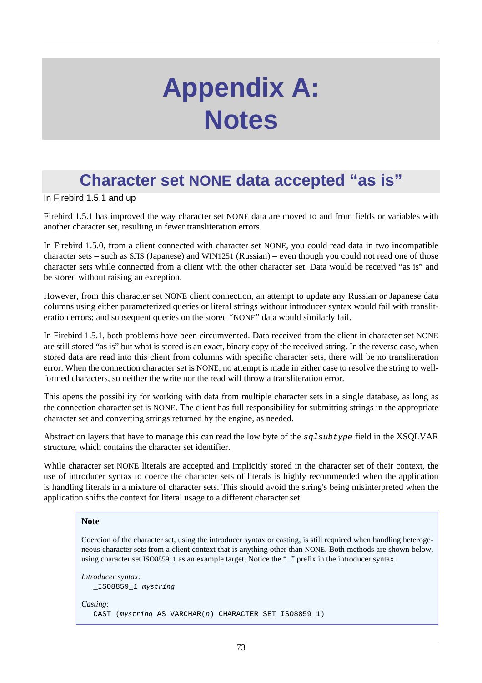# **Appendix A: Notes**

# **Character set NONE data accepted "as is"**

In Firebird 1.5.1 and up

Firebird 1.5.1 has improved the way character set NONE data are moved to and from fields or variables with another character set, resulting in fewer transliteration errors.

In Firebird 1.5.0, from a client connected with character set NONE, you could read data in two incompatible character sets – such as SJIS (Japanese) and WIN1251 (Russian) – even though you could not read one of those character sets while connected from a client with the other character set. Data would be received "as is" and be stored without raising an exception.

However, from this character set NONE client connection, an attempt to update any Russian or Japanese data columns using either parameterized queries or literal strings without introducer syntax would fail with transliteration errors; and subsequent queries on the stored "NONE" data would similarly fail.

In Firebird 1.5.1, both problems have been circumvented. Data received from the client in character set NONE are still stored "as is" but what is stored is an exact, binary copy of the received string. In the reverse case, when stored data are read into this client from columns with specific character sets, there will be no transliteration error. When the connection character set is NONE, no attempt is made in either case to resolve the string to wellformed characters, so neither the write nor the read will throw a transliteration error.

This opens the possibility for working with data from multiple character sets in a single database, as long as the connection character set is NONE. The client has full responsibility for submitting strings in the appropriate character set and converting strings returned by the engine, as needed.

Abstraction layers that have to manage this can read the low byte of the sqlsubtype field in the XSQLVAR structure, which contains the character set identifier.

While character set NONE literals are accepted and implicitly stored in the character set of their context, the use of introducer syntax to coerce the character sets of literals is highly recommended when the application is handling literals in a mixture of character sets. This should avoid the string's being misinterpreted when the application shifts the context for literal usage to a different character set.

#### **Note**

Coercion of the character set, using the introducer syntax or casting, is still required when handling heterogeneous character sets from a client context that is anything other than NONE. Both methods are shown below, using character set ISO8859\_1 as an example target. Notice the "\_" prefix in the introducer syntax.

```
Introducer syntax:
   _ISO8859_1 mystring
Casting:
   CAST (mystring AS VARCHAR(n) CHARACTER SET ISO8859_1)
```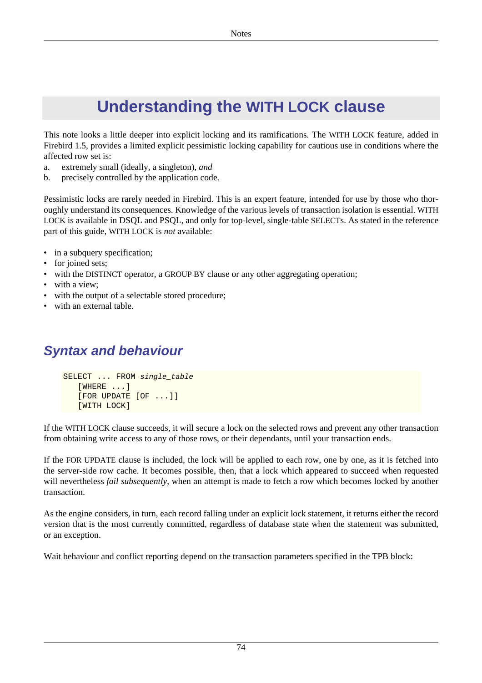# **Understanding the WITH LOCK clause**

This note looks a little deeper into explicit locking and its ramifications. The WITH LOCK feature, added in Firebird 1.5, provides a limited explicit pessimistic locking capability for cautious use in conditions where the affected row set is:

- a. extremely small (ideally, a singleton), *and*
- b. precisely controlled by the application code.

Pessimistic locks are rarely needed in Firebird. This is an expert feature, intended for use by those who thoroughly understand its consequences. Knowledge of the various levels of transaction isolation is essential. WITH LOCK is available in DSQL and PSQL, and only for top-level, single-table SELECTs. As stated in the reference part of this guide, WITH LOCK is *not* available:

- in a subquery specification;
- for joined sets;
- with the DISTINCT operator, a GROUP BY clause or any other aggregating operation;
- with a view;
- with the output of a selectable stored procedure;
- with an external table.

# **Syntax and behaviour**

```
SELECT ... FROM single_table
    [WHERE ...]
    [FOR UPDATE [OF ...]]
    [WITH LOCK]
```
If the WITH LOCK clause succeeds, it will secure a lock on the selected rows and prevent any other transaction from obtaining write access to any of those rows, or their dependants, until your transaction ends.

If the FOR UPDATE clause is included, the lock will be applied to each row, one by one, as it is fetched into the server-side row cache. It becomes possible, then, that a lock which appeared to succeed when requested will nevertheless *fail subsequently*, when an attempt is made to fetch a row which becomes locked by another transaction.

As the engine considers, in turn, each record falling under an explicit lock statement, it returns either the record version that is the most currently committed, regardless of database state when the statement was submitted, or an exception.

Wait behaviour and conflict reporting depend on the transaction parameters specified in the TPB block: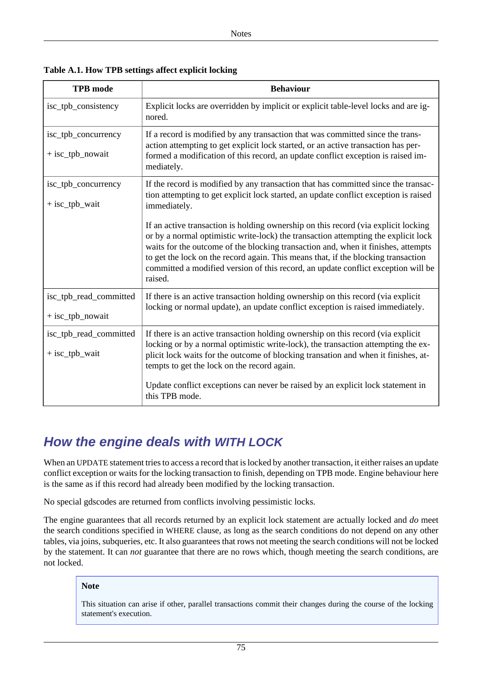| <b>TPB</b> mode                            | <b>Behaviour</b>                                                                                                                                                                                                                                                                                                                                                                                                                                   |  |
|--------------------------------------------|----------------------------------------------------------------------------------------------------------------------------------------------------------------------------------------------------------------------------------------------------------------------------------------------------------------------------------------------------------------------------------------------------------------------------------------------------|--|
| isc_tpb_consistency                        | Explicit locks are overridden by implicit or explicit table-level locks and are ig-<br>nored.                                                                                                                                                                                                                                                                                                                                                      |  |
| isc_tpb_concurrency<br>$+$ isc_tpb_nowait  | If a record is modified by any transaction that was committed since the trans-<br>action attempting to get explicit lock started, or an active transaction has per-<br>formed a modification of this record, an update conflict exception is raised im-<br>mediately.                                                                                                                                                                              |  |
| isc_tpb_concurrency<br>+ isc_tpb_wait      | If the record is modified by any transaction that has committed since the transac-<br>tion attempting to get explicit lock started, an update conflict exception is raised<br>immediately.                                                                                                                                                                                                                                                         |  |
|                                            | If an active transaction is holding ownership on this record (via explicit locking<br>or by a normal optimistic write-lock) the transaction attempting the explicit lock<br>waits for the outcome of the blocking transaction and, when it finishes, attempts<br>to get the lock on the record again. This means that, if the blocking transaction<br>committed a modified version of this record, an update conflict exception will be<br>raised. |  |
| isc_tpb_read_committed<br>+ isc_tpb_nowait | If there is an active transaction holding ownership on this record (via explicit<br>locking or normal update), an update conflict exception is raised immediately.                                                                                                                                                                                                                                                                                 |  |
| isc_tpb_read_committed<br>+ isc_tpb_wait   | If there is an active transaction holding ownership on this record (via explicit<br>locking or by a normal optimistic write-lock), the transaction attempting the ex-<br>plicit lock waits for the outcome of blocking transation and when it finishes, at-<br>tempts to get the lock on the record again.<br>Update conflict exceptions can never be raised by an explicit lock statement in<br>this TPB mode.                                    |  |

**Table A.1. How TPB settings affect explicit locking**

# **How the engine deals with WITH LOCK**

When an UPDATE statement tries to access a record that is locked by another transaction, it either raises an update conflict exception or waits for the locking transaction to finish, depending on TPB mode. Engine behaviour here is the same as if this record had already been modified by the locking transaction.

No special gdscodes are returned from conflicts involving pessimistic locks.

The engine guarantees that all records returned by an explicit lock statement are actually locked and *do* meet the search conditions specified in WHERE clause, as long as the search conditions do not depend on any other tables, via joins, subqueries, etc. It also guarantees that rows not meeting the search conditions will not be locked by the statement. It can *not* guarantee that there are no rows which, though meeting the search conditions, are not locked.

#### **Note**

This situation can arise if other, parallel transactions commit their changes during the course of the locking statement's execution.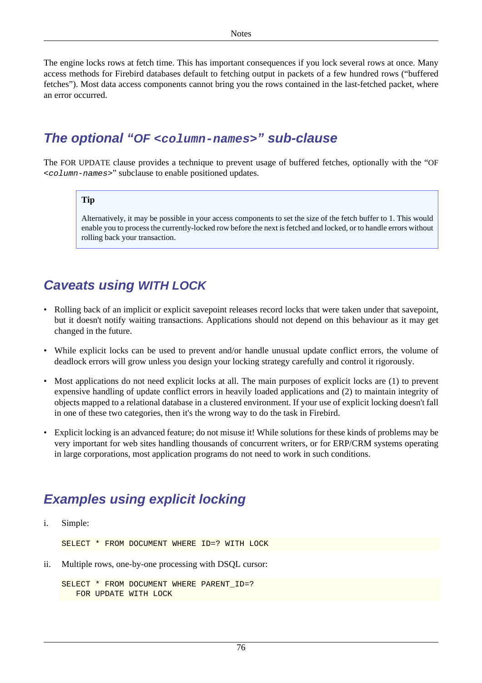The engine locks rows at fetch time. This has important consequences if you lock several rows at once. Many access methods for Firebird databases default to fetching output in packets of a few hundred rows ("buffered fetches"). Most data access components cannot bring you the rows contained in the last-fetched packet, where an error occurred.

# **The optional "OF <column-names>" sub-clause**

The FOR UPDATE clause provides a technique to prevent usage of buffered fetches, optionally with the "OF <column-names>" subclause to enable positioned updates.

#### **Tip**

Alternatively, it may be possible in your access components to set the size of the fetch buffer to 1. This would enable you to process the currently-locked row before the next is fetched and locked, or to handle errors without rolling back your transaction.

# **Caveats using WITH LOCK**

- Rolling back of an implicit or explicit savepoint releases record locks that were taken under that savepoint, but it doesn't notify waiting transactions. Applications should not depend on this behaviour as it may get changed in the future.
- While explicit locks can be used to prevent and/or handle unusual update conflict errors, the volume of deadlock errors will grow unless you design your locking strategy carefully and control it rigorously.
- Most applications do not need explicit locks at all. The main purposes of explicit locks are (1) to prevent expensive handling of update conflict errors in heavily loaded applications and (2) to maintain integrity of objects mapped to a relational database in a clustered environment. If your use of explicit locking doesn't fall in one of these two categories, then it's the wrong way to do the task in Firebird.
- Explicit locking is an advanced feature; do not misuse it! While solutions for these kinds of problems may be very important for web sites handling thousands of concurrent writers, or for ERP/CRM systems operating in large corporations, most application programs do not need to work in such conditions.

# **Examples using explicit locking**

i. Simple:

SELECT \* FROM DOCUMENT WHERE ID=? WITH LOCK

ii. Multiple rows, one-by-one processing with DSQL cursor:

```
SELECT * FROM DOCUMENT WHERE PARENT ID=?
    FOR UPDATE WITH LOCK
```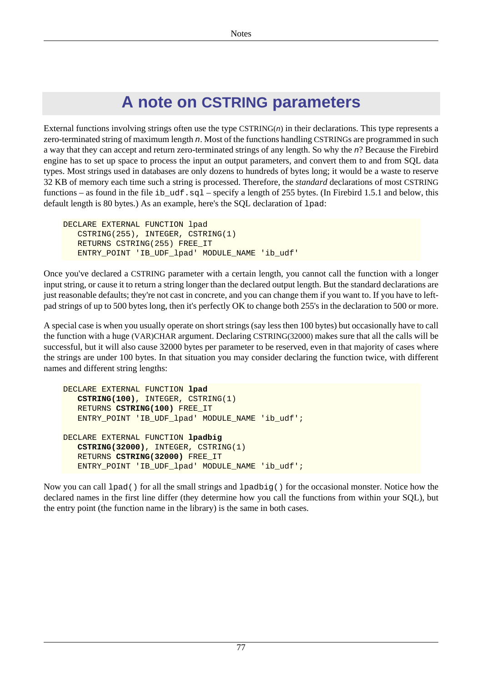# **A note on CSTRING parameters**

<span id="page-84-0"></span>External functions involving strings often use the type  $CSTRING(n)$  in their declarations. This type represents a zero-terminated string of maximum length n. Most of the functions handling CSTRINGs are programmed in such a way that they can accept and return zero-terminated strings of any length. So why the n? Because the Firebird engine has to set up space to process the input an output parameters, and convert them to and from SQL data types. Most strings used in databases are only dozens to hundreds of bytes long; it would be a waste to reserve 32 KB of memory each time such a string is processed. Therefore, the *standard* declarations of most CSTRING functions – as found in the file ib\_udf.sql – specify a length of 255 bytes. (In Firebird 1.5.1 and below, this default length is 80 bytes.) As an example, here's the SQL declaration of lpad:

```
DECLARE EXTERNAL FUNCTION lpad
    CSTRING(255), INTEGER, CSTRING(1)
    RETURNS CSTRING(255) FREE_IT
    ENTRY_POINT 'IB_UDF_lpad' MODULE_NAME 'ib_udf'
```
Once you've declared a CSTRING parameter with a certain length, you cannot call the function with a longer input string, or cause it to return a string longer than the declared output length. But the standard declarations are just reasonable defaults; they're not cast in concrete, and you can change them if you want to. If you have to leftpad strings of up to 500 bytes long, then it's perfectly OK to change both 255's in the declaration to 500 or more.

A special case is when you usually operate on short strings (say less then 100 bytes) but occasionally have to call the function with a huge (VAR)CHAR argument. Declaring CSTRING(32000) makes sure that all the calls will be successful, but it will also cause 32000 bytes per parameter to be reserved, even in that majority of cases where the strings are under 100 bytes. In that situation you may consider declaring the function twice, with different names and different string lengths:

```
DECLARE EXTERNAL FUNCTION lpad
    CSTRING(100), INTEGER, CSTRING(1)
    RETURNS CSTRING(100) FREE_IT
    ENTRY_POINT 'IB_UDF_lpad' MODULE_NAME 'ib_udf';
DECLARE EXTERNAL FUNCTION lpadbig
    CSTRING(32000), INTEGER, CSTRING(1)
    RETURNS CSTRING(32000) FREE_IT
   ENTRY_POINT 'IB_UDF_lpad' MODULE_NAME 'ib_udf';
```
Now you can call  $1$  pad() for all the small strings and  $1$  padbig() for the occasional monster. Notice how the declared names in the first line differ (they determine how you call the functions from within your SQL), but the entry point (the function name in the library) is the same in both cases.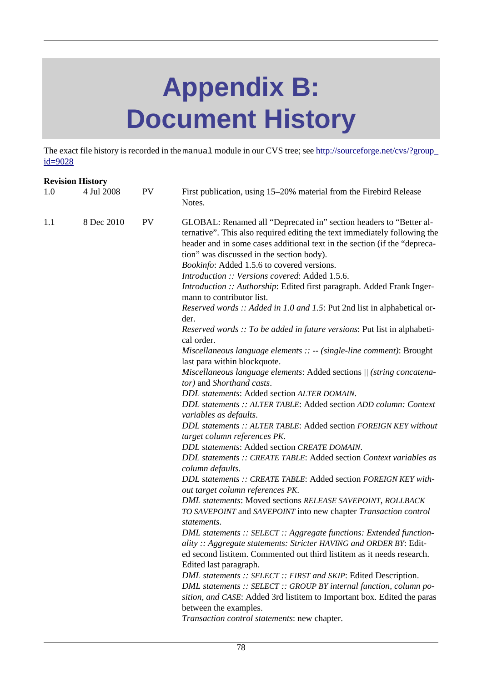# **Appendix B: Document History**

The exact file history is recorded in the manual module in our CVS tree; see [http://sourceforge.net/cvs/?group\\_](http://sourceforge.net/cvs/?group_id=9028) [id=9028](http://sourceforge.net/cvs/?group_id=9028)

| <b>Revision History</b> |            |           |                                                                                                                                                                                                                                                                                                                                                                                                                                                                                                                                                                                                                                                                                                                                                                                                                                                                                                                                                                                                                                                                                                                                                                                                                                                                                                                                                                                                                                                                                                                                                                                                                                                                                                                                                                                                                                                     |  |
|-------------------------|------------|-----------|-----------------------------------------------------------------------------------------------------------------------------------------------------------------------------------------------------------------------------------------------------------------------------------------------------------------------------------------------------------------------------------------------------------------------------------------------------------------------------------------------------------------------------------------------------------------------------------------------------------------------------------------------------------------------------------------------------------------------------------------------------------------------------------------------------------------------------------------------------------------------------------------------------------------------------------------------------------------------------------------------------------------------------------------------------------------------------------------------------------------------------------------------------------------------------------------------------------------------------------------------------------------------------------------------------------------------------------------------------------------------------------------------------------------------------------------------------------------------------------------------------------------------------------------------------------------------------------------------------------------------------------------------------------------------------------------------------------------------------------------------------------------------------------------------------------------------------------------------------|--|
| 1.0                     | 4 Jul 2008 | <b>PV</b> | First publication, using 15–20% material from the Firebird Release<br>Notes.                                                                                                                                                                                                                                                                                                                                                                                                                                                                                                                                                                                                                                                                                                                                                                                                                                                                                                                                                                                                                                                                                                                                                                                                                                                                                                                                                                                                                                                                                                                                                                                                                                                                                                                                                                        |  |
| 1.1                     | 8 Dec 2010 | <b>PV</b> | GLOBAL: Renamed all "Deprecated in" section headers to "Better al-<br>ternative". This also required editing the text immediately following the<br>header and in some cases additional text in the section (if the "depreca-<br>tion" was discussed in the section body).<br>Bookinfo: Added 1.5.6 to covered versions.<br>Introduction :: Versions covered: Added 1.5.6.<br>Introduction :: Authorship: Edited first paragraph. Added Frank Inger-<br>mann to contributor list.<br>Reserved words :: Added in 1.0 and 1.5: Put 2nd list in alphabetical or-<br>der.<br>Reserved words :: To be added in future versions: Put list in alphabeti-<br>cal order.<br>Miscellaneous language elements $:: -$ (single-line comment): Brought<br>last para within blockquote.<br>Miscellaneous language elements: Added sections // (string concatena-<br>tor) and Shorthand casts.<br>DDL statements: Added section ALTER DOMAIN.<br>DDL statements :: ALTER TABLE: Added section ADD column: Context<br>variables as defaults.<br>DDL statements :: ALTER TABLE: Added section FOREIGN KEY without<br>target column references PK.<br>DDL statements: Added section CREATE DOMAIN.<br>DDL statements :: CREATE TABLE: Added section Context variables as<br>column defaults.<br>DDL statements :: CREATE TABLE: Added section FOREIGN KEY with-<br>out target column references PK.<br>DML statements: Moved sections RELEASE SAVEPOINT, ROLLBACK<br>TO SAVEPOINT and SAVEPOINT into new chapter Transaction control<br>statements.<br>DML statements :: SELECT :: Aggregate functions: Extended function-<br>ality :: Aggregate statements: Stricter HAVING and ORDER BY: Edit-<br>ed second listitem. Commented out third listitem as it needs research.<br>Edited last paragraph.<br>DML statements :: SELECT :: FIRST and SKIP: Edited Description. |  |
|                         |            |           | DML statements :: SELECT :: GROUP BY internal function, column po-<br>sition, and CASE: Added 3rd listitem to Important box. Edited the paras<br>between the examples.                                                                                                                                                                                                                                                                                                                                                                                                                                                                                                                                                                                                                                                                                                                                                                                                                                                                                                                                                                                                                                                                                                                                                                                                                                                                                                                                                                                                                                                                                                                                                                                                                                                                              |  |
|                         |            |           | Transaction control statements: new chapter.                                                                                                                                                                                                                                                                                                                                                                                                                                                                                                                                                                                                                                                                                                                                                                                                                                                                                                                                                                                                                                                                                                                                                                                                                                                                                                                                                                                                                                                                                                                                                                                                                                                                                                                                                                                                        |  |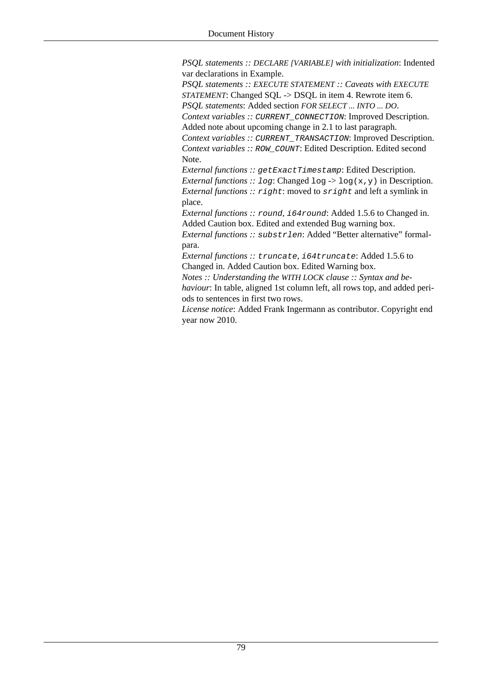*PSQL statements :: DECLARE [VARIABLE] with initialization*: Indented var declarations in Example.

*PSQL statements :: EXECUTE STATEMENT :: Caveats with EXECUTE STATEMENT*: Changed SOL -> DSOL in item 4. Rewrote item 6.

*PSQL statements*: Added section *FOR SELECT ... INTO ... DO*. *Context variables :: CURRENT CONNECTION: Improved Description.* 

Added note about upcoming change in 2.1 to last paragraph.

*Context variables :: CURRENT\_TRANSACTION: Improved Description. Context variables ::* ROW\_COUNT: Edited Description. Edited second Note.

*External functions :: getExactTimestamp: Edited Description.* 

*External functions :: log:* Changed  $\log \frac{1}{9}$  (x, y) in Description. *External functions ::* right: moved to sright and left a symlink in place.

*External functions ::* round*,* i64round: Added 1.5.6 to Changed in. Added Caution box. Edited and extended Bug warning box.

*External functions ::* substrlen: Added "Better alternative" formalpara.

*External functions ::* truncate*,* i64truncate: Added 1.5.6 to Changed in. Added Caution box. Edited Warning box.

*Notes :: Understanding the WITH LOCK clause :: Syntax and behaviour*: In table, aligned 1st column left, all rows top, and added periods to sentences in first two rows.

*License notice*: Added Frank Ingermann as contributor. Copyright end year now 2010.